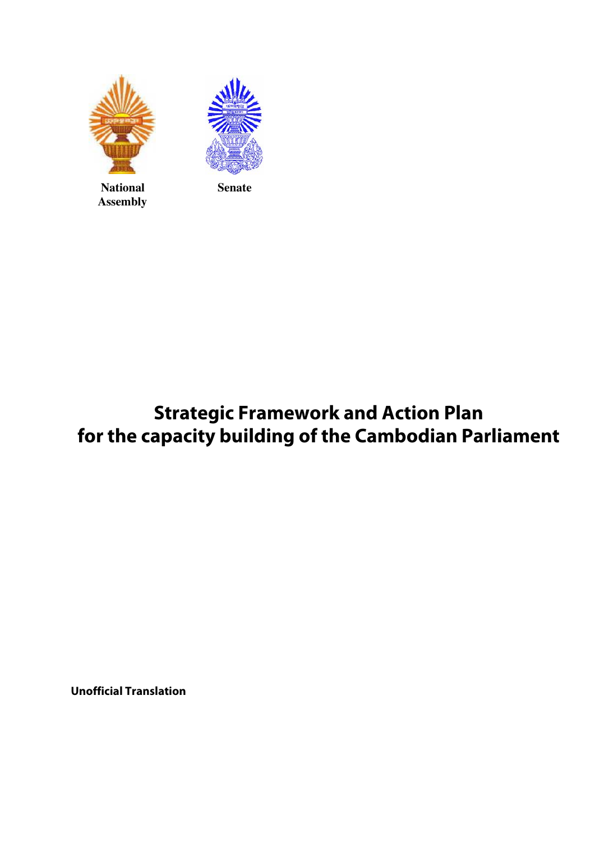





## **Strategic Framework and Action Plan for the capacity building of the Cambodian Parliament**

**Unofficial Translation**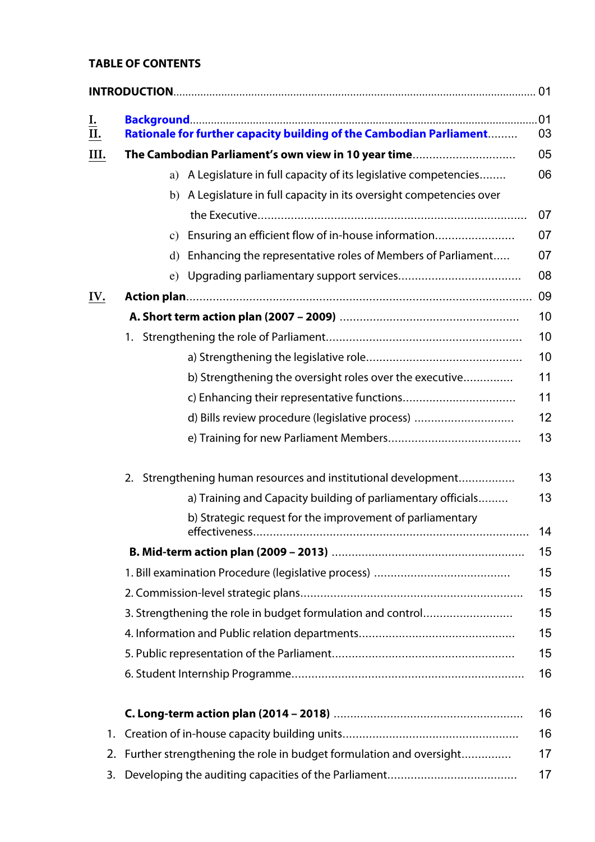## **TABLE OF CONTENTS**

| <u>I.</u><br>II. | Rationale for further capacity building of the Cambodian Parliament         | .01<br>03 |
|------------------|-----------------------------------------------------------------------------|-----------|
| III.             | The Cambodian Parliament's own view in 10 year time                         | 05        |
|                  | a) A Legislature in full capacity of its legislative competencies           | 06        |
|                  | A Legislature in full capacity in its oversight competencies over<br>b)     |           |
|                  |                                                                             | 07        |
|                  | c) Ensuring an efficient flow of in-house information                       | 07        |
|                  | Enhancing the representative roles of Members of Parliament<br>$\mathbf{d}$ | 07        |
|                  |                                                                             | 08        |
| IV.              |                                                                             | 09        |
|                  |                                                                             | 10        |
|                  |                                                                             | 10        |
|                  |                                                                             | 10        |
|                  | b) Strengthening the oversight roles over the executive                     | 11        |
|                  |                                                                             | 11        |
|                  | d) Bills review procedure (legislative process)                             | 12        |
|                  |                                                                             | 13        |
|                  | Strengthening human resources and institutional development<br>2.           | 13        |
|                  | a) Training and Capacity building of parliamentary officials                | 13        |
|                  | b) Strategic request for the improvement of parliamentary                   | 14        |
|                  |                                                                             | 15        |
|                  |                                                                             | 15        |
|                  |                                                                             | 15        |
|                  | 3. Strengthening the role in budget formulation and control                 | 15        |
|                  |                                                                             | 15        |
|                  |                                                                             | 15        |
|                  |                                                                             | 16        |
|                  |                                                                             | 16        |
| 1.               |                                                                             | 16        |
|                  | 2. Further strengthening the role in budget formulation and oversight       | 17        |

3. Developing the auditing capacities of the Parliament....................................... 17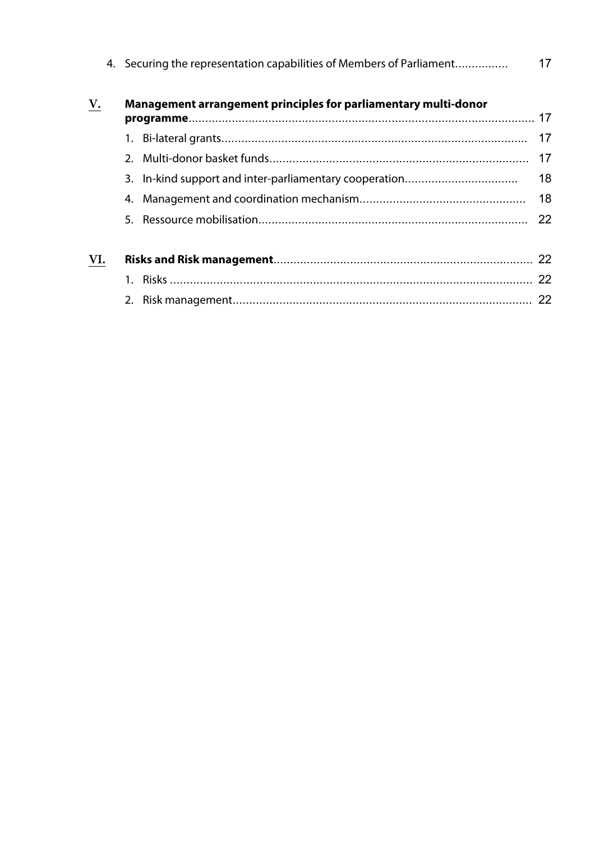|     |    | 4. Securing the representation capabilities of Members of Parliament | 17 |
|-----|----|----------------------------------------------------------------------|----|
| V.  |    | Management arrangement principles for parliamentary multi-donor      |    |
|     |    |                                                                      | 17 |
|     |    |                                                                      | 17 |
|     |    |                                                                      | 18 |
|     | 4. |                                                                      | 18 |
|     |    |                                                                      | 22 |
| VI. |    |                                                                      |    |
|     |    |                                                                      | 22 |
|     |    |                                                                      | 22 |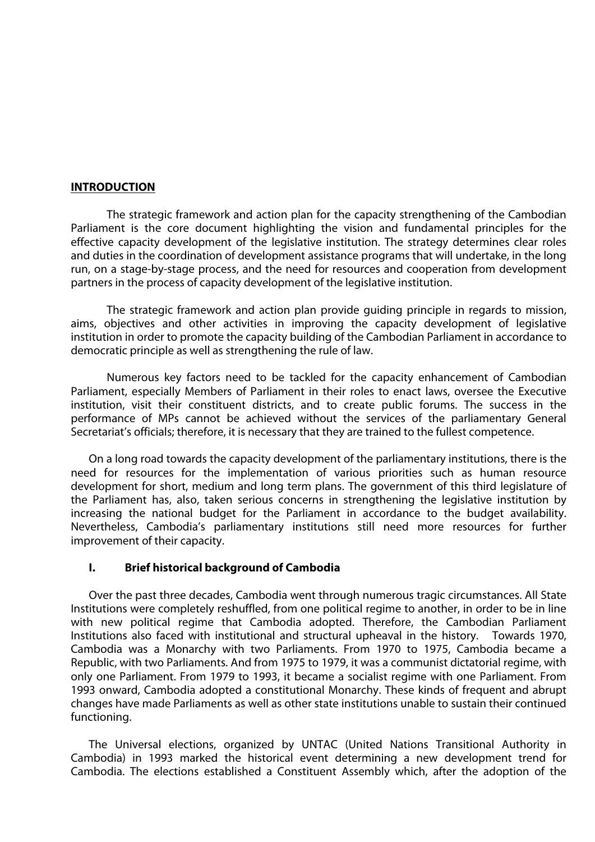#### **INTRODUCTION**

The strategic framework and action plan for the capacity strengthening of the Cambodian Parliament is the core document highlighting the vision and fundamental principles for the effective capacity development of the legislative institution. The strategy determines clear roles and duties in the coordination of development assistance programs that will undertake, in the long run, on a stage-by-stage process, and the need for resources and cooperation from development partners in the process of capacity development of the legislative institution.

The strategic framework and action plan provide guiding principle in regards to mission, aims, objectives and other activities in improving the capacity development of legislative institution in order to promote the capacity building of the Cambodian Parliament in accordance to democratic principle as well as strengthening the rule of law.

Numerous key factors need to be tackled for the capacity enhancement of Cambodian Parliament, especially Members of Parliament in their roles to enact laws, oversee the Executive institution, visit their constituent districts, and to create public forums. The success in the performance of MPs cannot be achieved without the services of the parliamentary General Secretariat's officials; therefore, it is necessary that they are trained to the fullest competence.

On a long road towards the capacity development of the parliamentary institutions, there is the need for resources for the implementation of various priorities such as human resource development for short, medium and long term plans. The government of this third legislature of the Parliament has, also, taken serious concerns in strengthening the legislative institution by increasing the national budget for the Parliament in accordance to the budget availability. Nevertheless, Cambodia's parliamentary institutions still need more resources for further improvement of their capacity.

#### **I. Brief historical background of Cambodia**

Over the past three decades, Cambodia went through numerous tragic circumstances. All State Institutions were completely reshuffled, from one political regime to another, in order to be in line with new political regime that Cambodia adopted. Therefore, the Cambodian Parliament Institutions also faced with institutional and structural upheaval in the history. Towards 1970, Cambodia was a Monarchy with two Parliaments. From 1970 to 1975, Cambodia became a Republic, with two Parliaments. And from 1975 to 1979, it was a communist dictatorial regime, with only one Parliament. From 1979 to 1993, it became a socialist regime with one Parliament. From 1993 onward, Cambodia adopted a constitutional Monarchy. These kinds of frequent and abrupt changes have made Parliaments as well as other state institutions unable to sustain their continued functioning.

The Universal elections, organized by UNTAC (United Nations Transitional Authority in Cambodia) in 1993 marked the historical event determining a new development trend for Cambodia. The elections established a Constituent Assembly which, after the adoption of the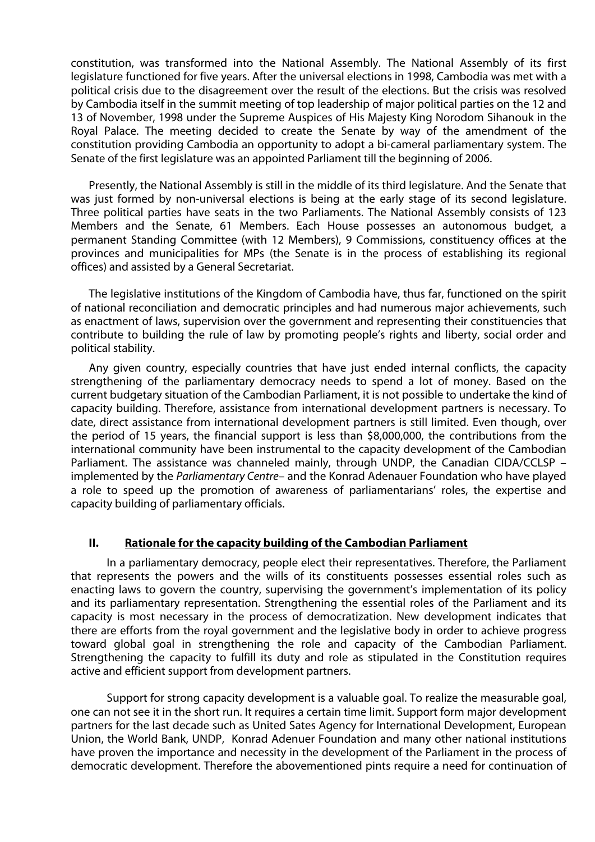constitution, was transformed into the National Assembly. The National Assembly of its first legislature functioned for five years. After the universal elections in 1998, Cambodia was met with a political crisis due to the disagreement over the result of the elections. But the crisis was resolved by Cambodia itself in the summit meeting of top leadership of major political parties on the 12 and 13 of November, 1998 under the Supreme Auspices of His Majesty King Norodom Sihanouk in the Royal Palace. The meeting decided to create the Senate by way of the amendment of the constitution providing Cambodia an opportunity to adopt a bi-cameral parliamentary system. The Senate of the first legislature was an appointed Parliament till the beginning of 2006.

Presently, the National Assembly is still in the middle of its third legislature. And the Senate that was just formed by non-universal elections is being at the early stage of its second legislature. Three political parties have seats in the two Parliaments. The National Assembly consists of 123 Members and the Senate, 61 Members. Each House possesses an autonomous budget, a permanent Standing Committee (with 12 Members), 9 Commissions, constituency offices at the provinces and municipalities for MPs (the Senate is in the process of establishing its regional offices) and assisted by a General Secretariat.

The legislative institutions of the Kingdom of Cambodia have, thus far, functioned on the spirit of national reconciliation and democratic principles and had numerous major achievements, such as enactment of laws, supervision over the government and representing their constituencies that contribute to building the rule of law by promoting people's rights and liberty, social order and political stability.

Any given country, especially countries that have just ended internal conflicts, the capacity strengthening of the parliamentary democracy needs to spend a lot of money. Based on the current budgetary situation of the Cambodian Parliament, it is not possible to undertake the kind of capacity building. Therefore, assistance from international development partners is necessary. To date, direct assistance from international development partners is still limited. Even though, over the period of 15 years, the financial support is less than \$8,000,000, the contributions from the international community have been instrumental to the capacity development of the Cambodian Parliament. The assistance was channeled mainly, through UNDP, the Canadian CIDA/CCLSP – implemented by the Parliamentary Centre– and the Konrad Adenauer Foundation who have played a role to speed up the promotion of awareness of parliamentarians' roles, the expertise and capacity building of parliamentary officials.

#### **II. Rationale for the capacity building of the Cambodian Parliament**

In a parliamentary democracy, people elect their representatives. Therefore, the Parliament that represents the powers and the wills of its constituents possesses essential roles such as enacting laws to govern the country, supervising the government's implementation of its policy and its parliamentary representation. Strengthening the essential roles of the Parliament and its capacity is most necessary in the process of democratization. New development indicates that there are efforts from the royal government and the legislative body in order to achieve progress toward global goal in strengthening the role and capacity of the Cambodian Parliament. Strengthening the capacity to fulfill its duty and role as stipulated in the Constitution requires active and efficient support from development partners.

Support for strong capacity development is a valuable goal. To realize the measurable goal, one can not see it in the short run. It requires a certain time limit. Support form major development partners for the last decade such as United Sates Agency for International Development, European Union, the World Bank, UNDP, Konrad Adenuer Foundation and many other national institutions have proven the importance and necessity in the development of the Parliament in the process of democratic development. Therefore the abovementioned pints require a need for continuation of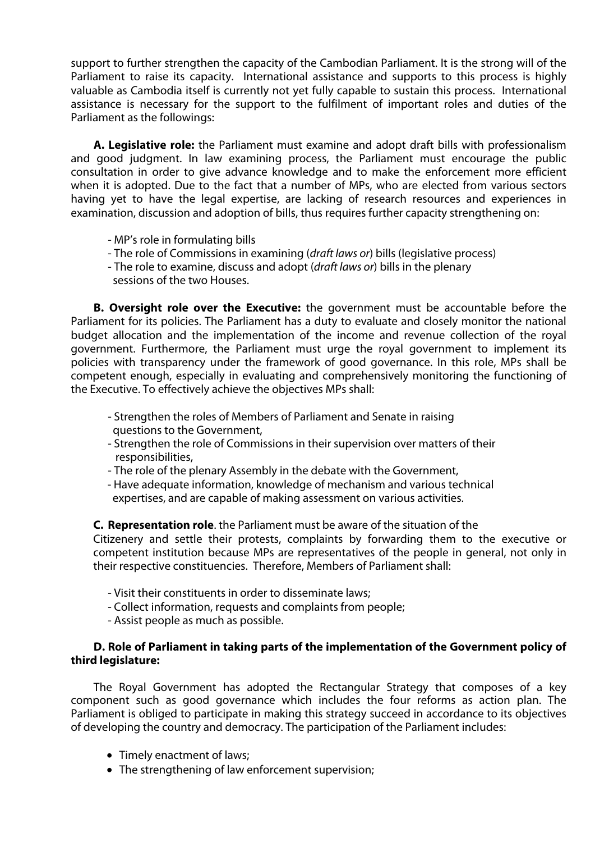support to further strengthen the capacity of the Cambodian Parliament. It is the strong will of the Parliament to raise its capacity. International assistance and supports to this process is highly valuable as Cambodia itself is currently not yet fully capable to sustain this process. International assistance is necessary for the support to the fulfilment of important roles and duties of the Parliament as the followings:

**A. Legislative role:** the Parliament must examine and adopt draft bills with professionalism and good judgment. In law examining process, the Parliament must encourage the public consultation in order to give advance knowledge and to make the enforcement more efficient when it is adopted. Due to the fact that a number of MPs, who are elected from various sectors having yet to have the legal expertise, are lacking of research resources and experiences in examination, discussion and adoption of bills, thus requires further capacity strengthening on:

- MP's role in formulating bills
- The role of Commissions in examining (draft laws or) bills (legislative process)
- The role to examine, discuss and adopt (draft laws or) bills in the plenary
- sessions of the two Houses.

**B. Oversight role over the Executive:** the government must be accountable before the Parliament for its policies. The Parliament has a duty to evaluate and closely monitor the national budget allocation and the implementation of the income and revenue collection of the royal government. Furthermore, the Parliament must urge the royal government to implement its policies with transparency under the framework of good governance. In this role, MPs shall be competent enough, especially in evaluating and comprehensively monitoring the functioning of the Executive. To effectively achieve the objectives MPs shall:

- Strengthen the roles of Members of Parliament and Senate in raising questions to the Government,
- Strengthen the role of Commissions in their supervision over matters of their responsibilities,
- The role of the plenary Assembly in the debate with the Government,
- Have adequate information, knowledge of mechanism and various technical expertises, and are capable of making assessment on various activities.

**C. Representation role**. the Parliament must be aware of the situation of the

Citizenery and settle their protests, complaints by forwarding them to the executive or competent institution because MPs are representatives of the people in general, not only in their respective constituencies. Therefore, Members of Parliament shall:

- Visit their constituents in order to disseminate laws;
- Collect information, requests and complaints from people;
- Assist people as much as possible.

## **D. Role of Parliament in taking parts of the implementation of the Government policy of third legislature:**

The Royal Government has adopted the Rectangular Strategy that composes of a key component such as good governance which includes the four reforms as action plan. The Parliament is obliged to participate in making this strategy succeed in accordance to its objectives of developing the country and democracy. The participation of the Parliament includes:

- Timely enactment of laws:
- The strengthening of law enforcement supervision;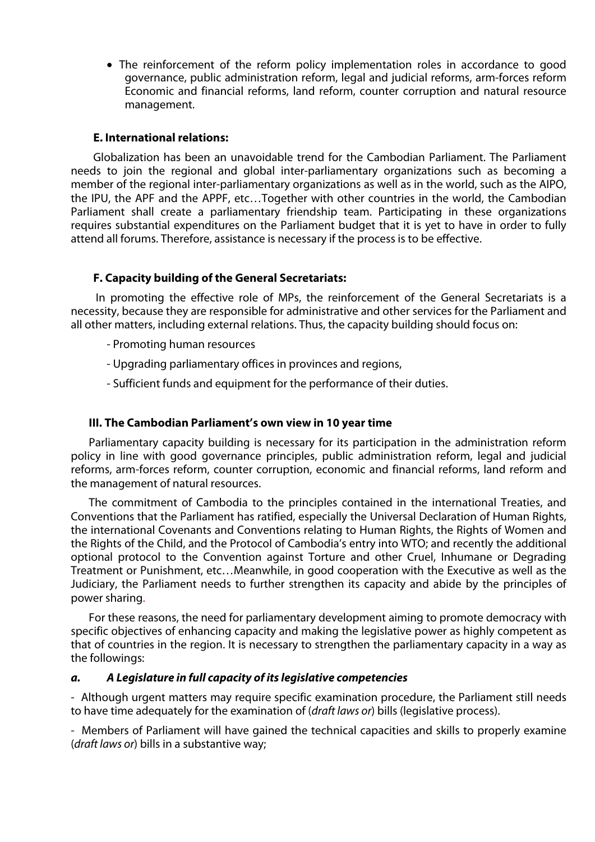! The reinforcement of the reform policy implementation roles in accordance to good governance, public administration reform, legal and judicial reforms, arm-forces reform Economic and financial reforms, land reform, counter corruption and natural resource management.

#### **E. International relations:**

Globalization has been an unavoidable trend for the Cambodian Parliament. The Parliament needs to join the regional and global inter-parliamentary organizations such as becoming a member of the regional inter-parliamentary organizations as well as in the world, such as the AIPO, the IPU, the APF and the APPF, etc…Together with other countries in the world, the Cambodian Parliament shall create a parliamentary friendship team. Participating in these organizations requires substantial expenditures on the Parliament budget that it is yet to have in order to fully attend all forums. Therefore, assistance is necessary if the process is to be effective.

## **F. Capacity building of the General Secretariats:**

In promoting the effective role of MPs, the reinforcement of the General Secretariats is a necessity, because they are responsible for administrative and other services for the Parliament and all other matters, including external relations. Thus, the capacity building should focus on:

- Promoting human resources
- Upgrading parliamentary offices in provinces and regions,
- Sufficient funds and equipment for the performance of their duties.

#### **III. The Cambodian Parliament's own view in 10 year time**

Parliamentary capacity building is necessary for its participation in the administration reform policy in line with good governance principles, public administration reform, legal and judicial reforms, arm-forces reform, counter corruption, economic and financial reforms, land reform and the management of natural resources.

The commitment of Cambodia to the principles contained in the international Treaties, and Conventions that the Parliament has ratified, especially the Universal Declaration of Human Rights, the international Covenants and Conventions relating to Human Rights, the Rights of Women and the Rights of the Child, and the Protocol of Cambodia's entry into WTO; and recently the additional optional protocol to the Convention against Torture and other Cruel, Inhumane or Degrading Treatment or Punishment, etc…Meanwhile, in good cooperation with the Executive as well as the Judiciary, the Parliament needs to further strengthen its capacity and abide by the principles of power sharing.

For these reasons, the need for parliamentary development aiming to promote democracy with specific objectives of enhancing capacity and making the legislative power as highly competent as that of countries in the region. It is necessary to strengthen the parliamentary capacity in a way as the followings:

#### **a. A Legislature in full capacity of its legislative competencies**

- Although urgent matters may require specific examination procedure, the Parliament still needs to have time adequately for the examination of (draft laws or) bills (legislative process).

- Members of Parliament will have gained the technical capacities and skills to properly examine (draft laws or) bills in a substantive way;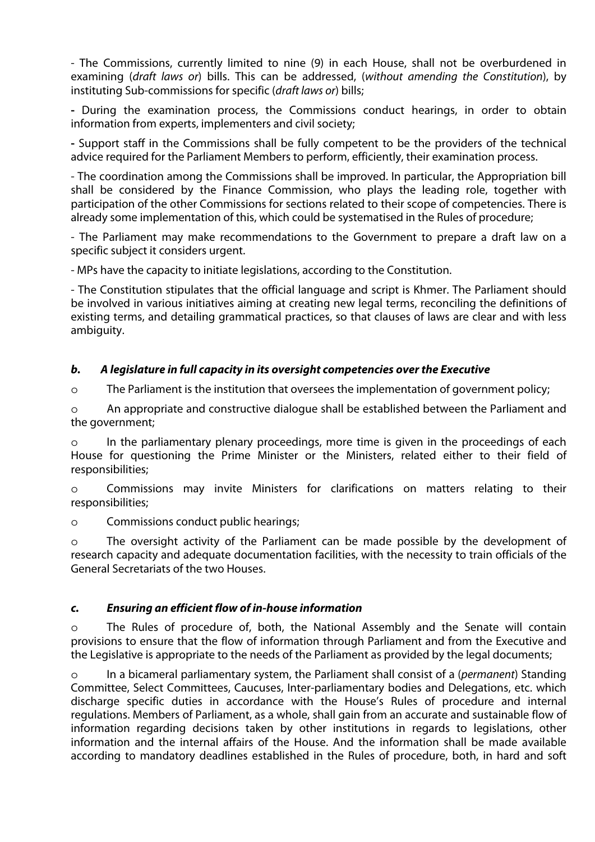- The Commissions, currently limited to nine (9) in each House, shall not be overburdened in examining (draft laws or) bills. This can be addressed, (without amending the Constitution), by instituting Sub-commissions for specific (*draft laws or*) bills;

**-** During the examination process, the Commissions conduct hearings, in order to obtain information from experts, implementers and civil society;

**-** Support staff in the Commissions shall be fully competent to be the providers of the technical advice required for the Parliament Members to perform, efficiently, their examination process.

- The coordination among the Commissions shall be improved. In particular, the Appropriation bill shall be considered by the Finance Commission, who plays the leading role, together with participation of the other Commissions for sections related to their scope of competencies. There is already some implementation of this, which could be systematised in the Rules of procedure;

- The Parliament may make recommendations to the Government to prepare a draft law on a specific subject it considers urgent.

- MPs have the capacity to initiate legislations, according to the Constitution.

- The Constitution stipulates that the official language and script is Khmer. The Parliament should be involved in various initiatives aiming at creating new legal terms, reconciling the definitions of existing terms, and detailing grammatical practices, so that clauses of laws are clear and with less ambiguity.

## **b. A legislature in full capacity in its oversight competencies over the Executive**

o The Parliament is the institution that oversees the implementation of government policy;

o An appropriate and constructive dialogue shall be established between the Parliament and the government;

o In the parliamentary plenary proceedings, more time is given in the proceedings of each House for questioning the Prime Minister or the Ministers, related either to their field of responsibilities;

o Commissions may invite Ministers for clarifications on matters relating to their responsibilities;

o Commissions conduct public hearings;

o The oversight activity of the Parliament can be made possible by the development of research capacity and adequate documentation facilities, with the necessity to train officials of the General Secretariats of the two Houses.

## **c. Ensuring an efficient flow of in-house information**

o The Rules of procedure of, both, the National Assembly and the Senate will contain provisions to ensure that the flow of information through Parliament and from the Executive and the Legislative is appropriate to the needs of the Parliament as provided by the legal documents;

o In a bicameral parliamentary system, the Parliament shall consist of a (permanent) Standing Committee, Select Committees, Caucuses, Inter-parliamentary bodies and Delegations, etc. which discharge specific duties in accordance with the House's Rules of procedure and internal regulations. Members of Parliament, as a whole, shall gain from an accurate and sustainable flow of information regarding decisions taken by other institutions in regards to legislations, other information and the internal affairs of the House. And the information shall be made available according to mandatory deadlines established in the Rules of procedure, both, in hard and soft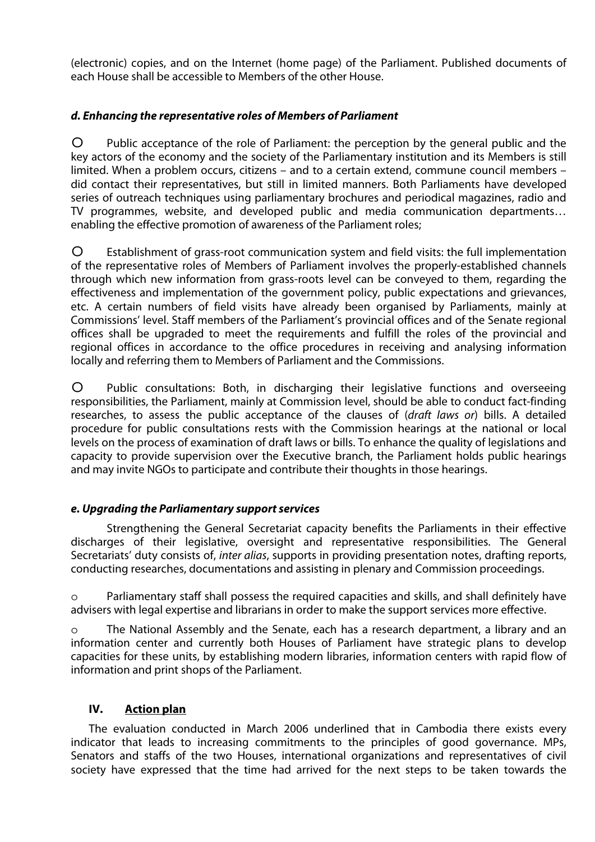(electronic) copies, and on the Internet (home page) of the Parliament. Published documents of each House shall be accessible to Members of the other House.

## **d. Enhancing the representative roles of Members of Parliament**

o Public acceptance of the role of Parliament: the perception by the general public and the key actors of the economy and the society of the Parliamentary institution and its Members is still limited. When a problem occurs, citizens – and to a certain extend, commune council members – did contact their representatives, but still in limited manners. Both Parliaments have developed series of outreach techniques using parliamentary brochures and periodical magazines, radio and TV programmes, website, and developed public and media communication departments… enabling the effective promotion of awareness of the Parliament roles;

o Establishment of grass-root communication system and field visits: the full implementation of the representative roles of Members of Parliament involves the properly-established channels through which new information from grass-roots level can be conveyed to them, regarding the effectiveness and implementation of the government policy, public expectations and grievances, etc. A certain numbers of field visits have already been organised by Parliaments, mainly at Commissions' level. Staff members of the Parliament's provincial offices and of the Senate regional offices shall be upgraded to meet the requirements and fulfill the roles of the provincial and regional offices in accordance to the office procedures in receiving and analysing information locally and referring them to Members of Parliament and the Commissions.

o Public consultations: Both, in discharging their legislative functions and overseeing responsibilities, the Parliament, mainly at Commission level, should be able to conduct fact-finding researches, to assess the public acceptance of the clauses of (draft laws or) bills. A detailed procedure for public consultations rests with the Commission hearings at the national or local levels on the process of examination of draft laws or bills. To enhance the quality of legislations and capacity to provide supervision over the Executive branch, the Parliament holds public hearings and may invite NGOs to participate and contribute their thoughts in those hearings.

## **e. Upgrading the Parliamentary support services**

Strengthening the General Secretariat capacity benefits the Parliaments in their effective discharges of their legislative, oversight and representative responsibilities. The General Secretariats' duty consists of, *inter alias*, supports in providing presentation notes, drafting reports, conducting researches, documentations and assisting in plenary and Commission proceedings.

o Parliamentary staff shall possess the required capacities and skills, and shall definitely have advisers with legal expertise and librarians in order to make the support services more effective.

o The National Assembly and the Senate, each has a research department, a library and an information center and currently both Houses of Parliament have strategic plans to develop capacities for these units, by establishing modern libraries, information centers with rapid flow of information and print shops of the Parliament.

## **IV. Action plan**

The evaluation conducted in March 2006 underlined that in Cambodia there exists every indicator that leads to increasing commitments to the principles of good governance. MPs, Senators and staffs of the two Houses, international organizations and representatives of civil society have expressed that the time had arrived for the next steps to be taken towards the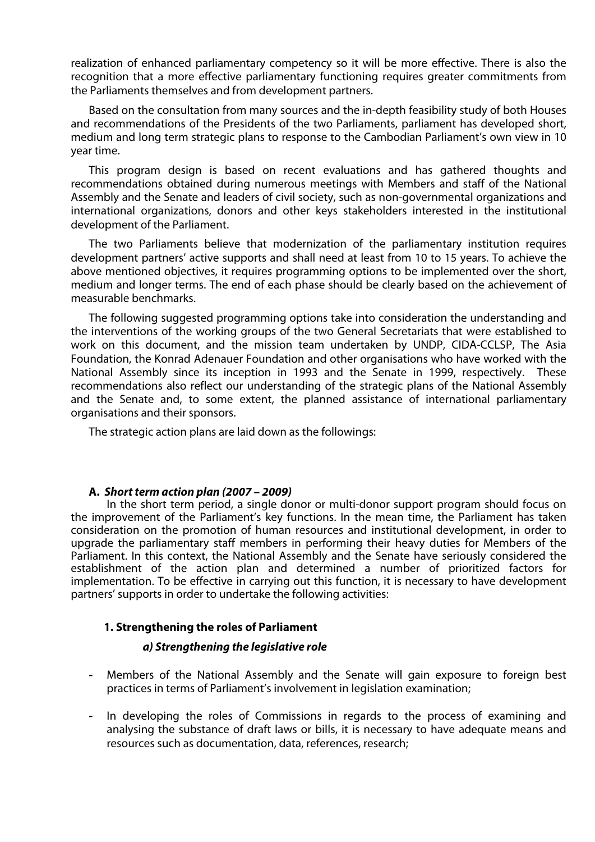realization of enhanced parliamentary competency so it will be more effective. There is also the recognition that a more effective parliamentary functioning requires greater commitments from the Parliaments themselves and from development partners.

Based on the consultation from many sources and the in-depth feasibility study of both Houses and recommendations of the Presidents of the two Parliaments, parliament has developed short, medium and long term strategic plans to response to the Cambodian Parliament's own view in 10 year time.

This program design is based on recent evaluations and has gathered thoughts and recommendations obtained during numerous meetings with Members and staff of the National Assembly and the Senate and leaders of civil society, such as non-governmental organizations and international organizations, donors and other keys stakeholders interested in the institutional development of the Parliament.

The two Parliaments believe that modernization of the parliamentary institution requires development partners' active supports and shall need at least from 10 to 15 years. To achieve the above mentioned objectives, it requires programming options to be implemented over the short, medium and longer terms. The end of each phase should be clearly based on the achievement of measurable benchmarks.

The following suggested programming options take into consideration the understanding and the interventions of the working groups of the two General Secretariats that were established to work on this document, and the mission team undertaken by UNDP, CIDA-CCLSP, The Asia Foundation, the Konrad Adenauer Foundation and other organisations who have worked with the National Assembly since its inception in 1993 and the Senate in 1999, respectively. These recommendations also reflect our understanding of the strategic plans of the National Assembly and the Senate and, to some extent, the planned assistance of international parliamentary organisations and their sponsors.

The strategic action plans are laid down as the followings:

#### **A. Short term action plan (2007 – 2009)**

In the short term period, a single donor or multi-donor support program should focus on the improvement of the Parliament's key functions. In the mean time, the Parliament has taken consideration on the promotion of human resources and institutional development, in order to upgrade the parliamentary staff members in performing their heavy duties for Members of the Parliament. In this context, the National Assembly and the Senate have seriously considered the establishment of the action plan and determined a number of prioritized factors for implementation. To be effective in carrying out this function, it is necessary to have development partners' supports in order to undertake the following activities:

## **1. Strengthening the roles of Parliament**

#### **a) Strengthening the legislative role**

- Members of the National Assembly and the Senate will gain exposure to foreign best practices in terms of Parliament's involvement in legislation examination;
- In developing the roles of Commissions in regards to the process of examining and analysing the substance of draft laws or bills, it is necessary to have adequate means and resources such as documentation, data, references, research;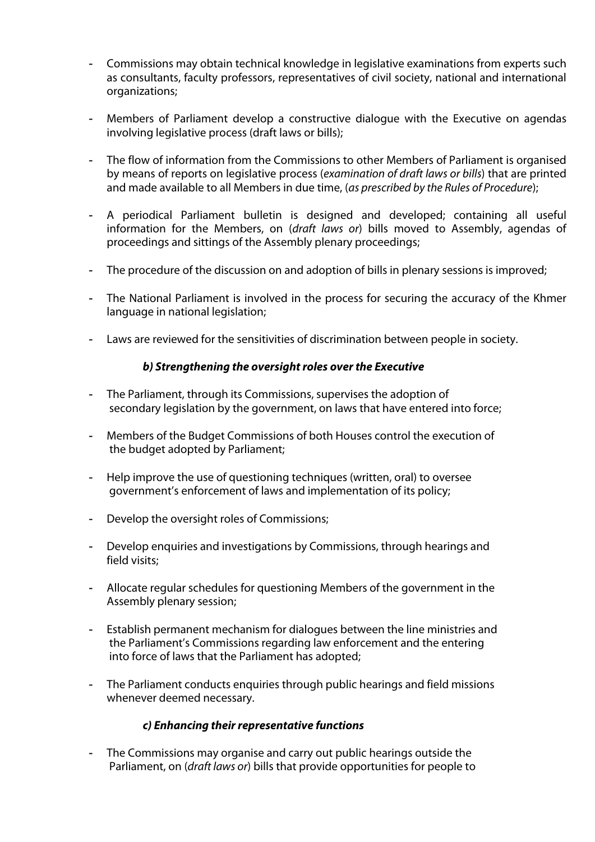- Commissions may obtain technical knowledge in legislative examinations from experts such as consultants, faculty professors, representatives of civil society, national and international organizations;
- Members of Parliament develop a constructive dialogue with the Executive on agendas involving legislative process (draft laws or bills);
- The flow of information from the Commissions to other Members of Parliament is organised by means of reports on legislative process (examination of draft laws or bills) that are printed and made available to all Members in due time, (as prescribed by the Rules of Procedure);
- A periodical Parliament bulletin is designed and developed; containing all useful information for the Members, on (draft laws or) bills moved to Assembly, agendas of proceedings and sittings of the Assembly plenary proceedings;
- The procedure of the discussion on and adoption of bills in plenary sessions is improved;
- The National Parliament is involved in the process for securing the accuracy of the Khmer language in national legislation;
- Laws are reviewed for the sensitivities of discrimination between people in society.

## **b**) Strengthening the oversight roles over the Executive

- The Parliament, through its Commissions, supervises the adoption of secondary legislation by the government, on laws that have entered into force;
- Members of the Budget Commissions of both Houses control the execution of the budget adopted by Parliament;
- Help improve the use of questioning techniques (written, oral) to oversee government's enforcement of laws and implementation of its policy;
- Develop the oversight roles of Commissions;
- Develop enquiries and investigations by Commissions, through hearings and field visits;
- Allocate regular schedules for questioning Members of the government in the Assembly plenary session;
- Establish permanent mechanism for dialogues between the line ministries and the Parliament's Commissions regarding law enforcement and the entering into force of laws that the Parliament has adopted;
- The Parliament conducts enquiries through public hearings and field missions whenever deemed necessary.

#### **c) Enhancing their representative functions**

- The Commissions may organise and carry out public hearings outside the Parliament, on (draft laws or) bills that provide opportunities for people to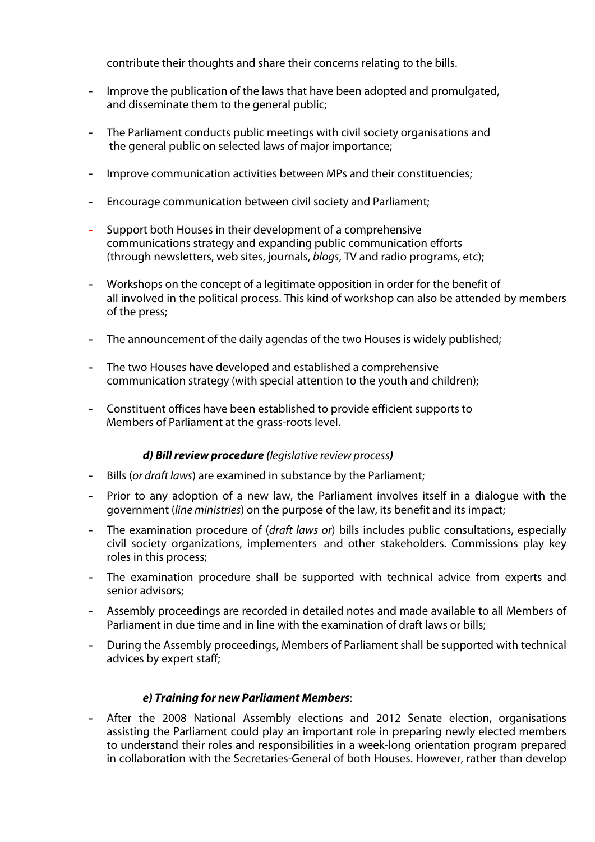contribute their thoughts and share their concerns relating to the bills.

- Improve the publication of the laws that have been adopted and promulgated, and disseminate them to the general public;
- The Parliament conducts public meetings with civil society organisations and the general public on selected laws of major importance;
- Improve communication activities between MPs and their constituencies;
- Encourage communication between civil society and Parliament;
- Support both Houses in their development of a comprehensive communications strategy and expanding public communication efforts (through newsletters, web sites, journals, blogs, TV and radio programs, etc);
- Workshops on the concept of a legitimate opposition in order for the benefit of all involved in the political process. This kind of workshop can also be attended by members of the press;
- The announcement of the daily agendas of the two Houses is widely published;
- The two Houses have developed and established a comprehensive communication strategy (with special attention to the youth and children);
- Constituent offices have been established to provide efficient supports to Members of Parliament at the grass-roots level.

#### **d) Bill review procedure (**legislative review process**)**

- Bills (or draft laws) are examined in substance by the Parliament;
- Prior to any adoption of a new law, the Parliament involves itself in a dialogue with the government (line ministries) on the purpose of the law, its benefit and its impact;
- The examination procedure of (*draft laws or*) bills includes public consultations, especially civil society organizations, implementers and other stakeholders. Commissions play key roles in this process;
- The examination procedure shall be supported with technical advice from experts and senior advisors;
- Assembly proceedings are recorded in detailed notes and made available to all Members of Parliament in due time and in line with the examination of draft laws or bills;
- During the Assembly proceedings, Members of Parliament shall be supported with technical advices by expert staff;

#### **e) Training for new Parliament Members**:

- After the 2008 National Assembly elections and 2012 Senate election, organisations assisting the Parliament could play an important role in preparing newly elected members to understand their roles and responsibilities in a week-long orientation program prepared in collaboration with the Secretaries-General of both Houses. However, rather than develop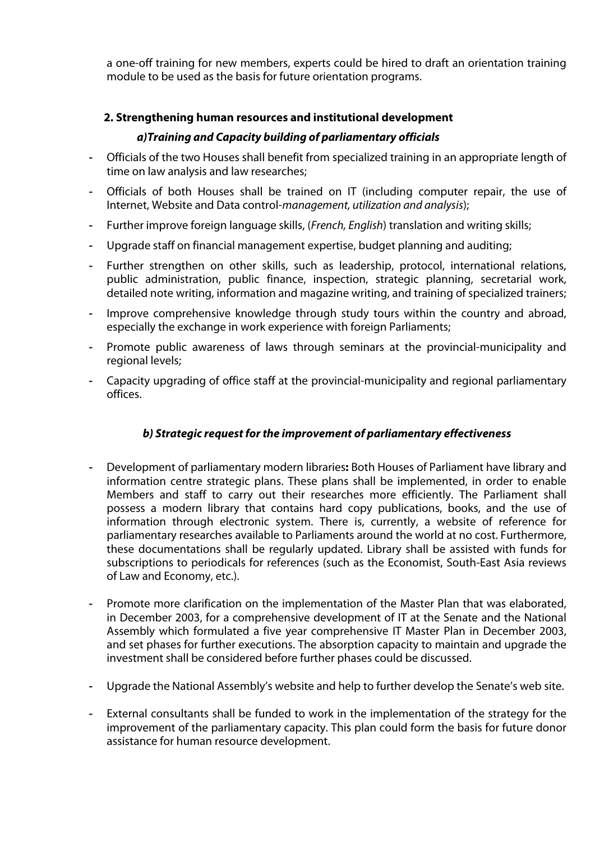a one-off training for new members, experts could be hired to draft an orientation training module to be used as the basis for future orientation programs.

## **2. Strengthening human resources and institutional development**

## **a)Training and Capacity building of parliamentary officials**

- Officials of the two Houses shall benefit from specialized training in an appropriate length of time on law analysis and law researches;
- Officials of both Houses shall be trained on IT (including computer repair, the use of Internet, Website and Data control-management, utilization and analysis);
- Further improve foreign language skills, (French, English) translation and writing skills;
- Upgrade staff on financial management expertise, budget planning and auditing;
- Further strengthen on other skills, such as leadership, protocol, international relations, public administration, public finance, inspection, strategic planning, secretarial work, detailed note writing, information and magazine writing, and training of specialized trainers;
- Improve comprehensive knowledge through study tours within the country and abroad, especially the exchange in work experience with foreign Parliaments;
- Promote public awareness of laws through seminars at the provincial-municipality and regional levels;
- Capacity upgrading of office staff at the provincial-municipality and regional parliamentary offices.

## **b) Strategic request for the improvement of parliamentary effectiveness**

- Development of parliamentary modern libraries**:** Both Houses of Parliament have library and information centre strategic plans. These plans shall be implemented, in order to enable Members and staff to carry out their researches more efficiently. The Parliament shall possess a modern library that contains hard copy publications, books, and the use of information through electronic system. There is, currently, a website of reference for parliamentary researches available to Parliaments around the world at no cost. Furthermore, these documentations shall be regularly updated. Library shall be assisted with funds for subscriptions to periodicals for references (such as the Economist, South-East Asia reviews of Law and Economy, etc.).
- Promote more clarification on the implementation of the Master Plan that was elaborated, in December 2003, for a comprehensive development of IT at the Senate and the National Assembly which formulated a five year comprehensive IT Master Plan in December 2003, and set phases for further executions. The absorption capacity to maintain and upgrade the investment shall be considered before further phases could be discussed.
- Upgrade the National Assembly's website and help to further develop the Senate's web site.
- External consultants shall be funded to work in the implementation of the strategy for the improvement of the parliamentary capacity. This plan could form the basis for future donor assistance for human resource development.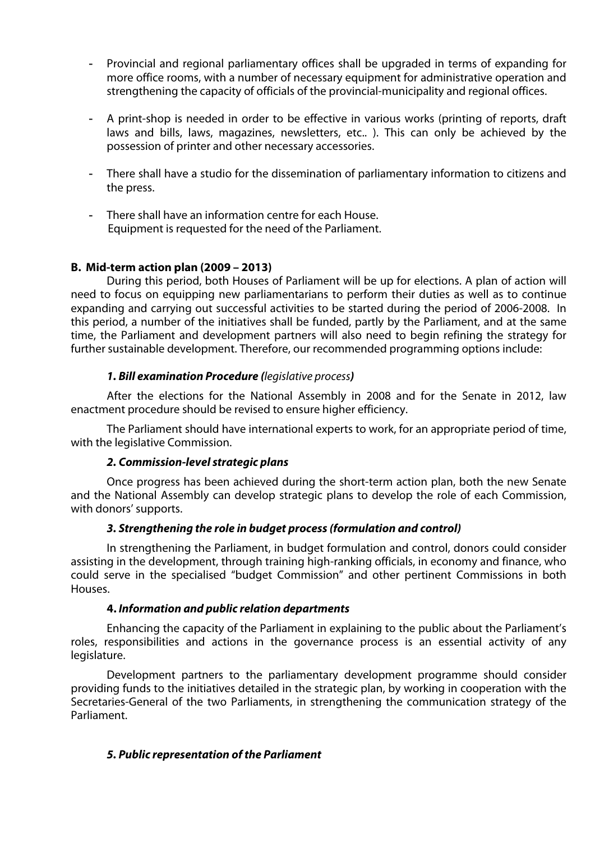- Provincial and regional parliamentary offices shall be upgraded in terms of expanding for more office rooms, with a number of necessary equipment for administrative operation and strengthening the capacity of officials of the provincial-municipality and regional offices.
- A print-shop is needed in order to be effective in various works (printing of reports, draft laws and bills, laws, magazines, newsletters, etc.. ). This can only be achieved by the possession of printer and other necessary accessories.
- There shall have a studio for the dissemination of parliamentary information to citizens and the press.
- There shall have an information centre for each House. Equipment is requested for the need of the Parliament.

#### **B. Mid-term action plan (2009 – 2013)**

During this period, both Houses of Parliament will be up for elections. A plan of action will need to focus on equipping new parliamentarians to perform their duties as well as to continue expanding and carrying out successful activities to be started during the period of 2006-2008. In this period, a number of the initiatives shall be funded, partly by the Parliament, and at the same time, the Parliament and development partners will also need to begin refining the strategy for further sustainable development. Therefore, our recommended programming options include:

## **1. Bill examination Procedure (**legislative process**)**

After the elections for the National Assembly in 2008 and for the Senate in 2012, law enactment procedure should be revised to ensure higher efficiency.

The Parliament should have international experts to work, for an appropriate period of time, with the legislative Commission.

#### **2. Commission-level strategic plans**

Once progress has been achieved during the short-term action plan, both the new Senate and the National Assembly can develop strategic plans to develop the role of each Commission, with donors' supports.

#### **3. Strengthening the role in budget process (formulation and control)**

In strengthening the Parliament, in budget formulation and control, donors could consider assisting in the development, through training high-ranking officials, in economy and finance, who could serve in the specialised "budget Commission" and other pertinent Commissions in both Houses.

#### **4. Information and public relation departments**

Enhancing the capacity of the Parliament in explaining to the public about the Parliament's roles, responsibilities and actions in the governance process is an essential activity of any legislature.

Development partners to the parliamentary development programme should consider providing funds to the initiatives detailed in the strategic plan, by working in cooperation with the Secretaries-General of the two Parliaments, in strengthening the communication strategy of the Parliament.

## **5. Public representation of the Parliament**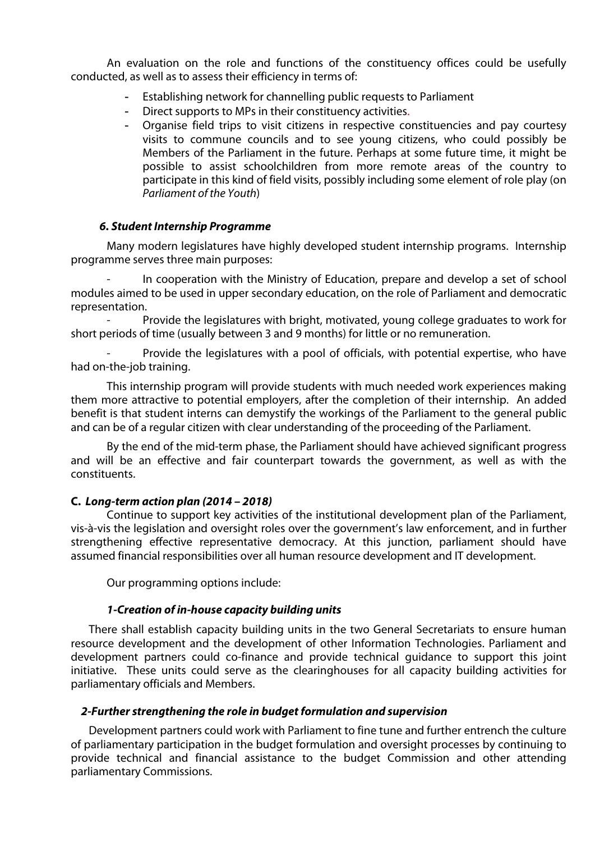An evaluation on the role and functions of the constituency offices could be usefully conducted, as well as to assess their efficiency in terms of:

- Establishing network for channelling public requests to Parliament
- Direct supports to MPs in their constituency activities.
- Organise field trips to visit citizens in respective constituencies and pay courtesy visits to commune councils and to see young citizens, who could possibly be Members of the Parliament in the future. Perhaps at some future time, it might be possible to assist schoolchildren from more remote areas of the country to participate in this kind of field visits, possibly including some element of role play (on Parliament of the Youth)

## **6. Student Internship Programme**

Many modern legislatures have highly developed student internship programs. Internship programme serves three main purposes:

In cooperation with the Ministry of Education, prepare and develop a set of school modules aimed to be used in upper secondary education, on the role of Parliament and democratic representation.

Provide the legislatures with bright, motivated, young college graduates to work for short periods of time (usually between 3 and 9 months) for little or no remuneration.

Provide the legislatures with a pool of officials, with potential expertise, who have had on-the-job training.

This internship program will provide students with much needed work experiences making them more attractive to potential employers, after the completion of their internship. An added benefit is that student interns can demystify the workings of the Parliament to the general public and can be of a regular citizen with clear understanding of the proceeding of the Parliament.

By the end of the mid-term phase, the Parliament should have achieved significant progress and will be an effective and fair counterpart towards the government, as well as with the constituents.

## **C. Long-term action plan (2014 – 2018)**

Continue to support key activities of the institutional development plan of the Parliament, vis-à-vis the legislation and oversight roles over the government's law enforcement, and in further strengthening effective representative democracy. At this junction, parliament should have assumed financial responsibilities over all human resource development and IT development.

Our programming options include:

## **1-Creation of in-house capacity building units**

There shall establish capacity building units in the two General Secretariats to ensure human resource development and the development of other Information Technologies. Parliament and development partners could co-finance and provide technical guidance to support this joint initiative. These units could serve as the clearinghouses for all capacity building activities for parliamentary officials and Members.

#### **2-Further strengthening the role in budget formulation and supervision**

Development partners could work with Parliament to fine tune and further entrench the culture of parliamentary participation in the budget formulation and oversight processes by continuing to provide technical and financial assistance to the budget Commission and other attending parliamentary Commissions.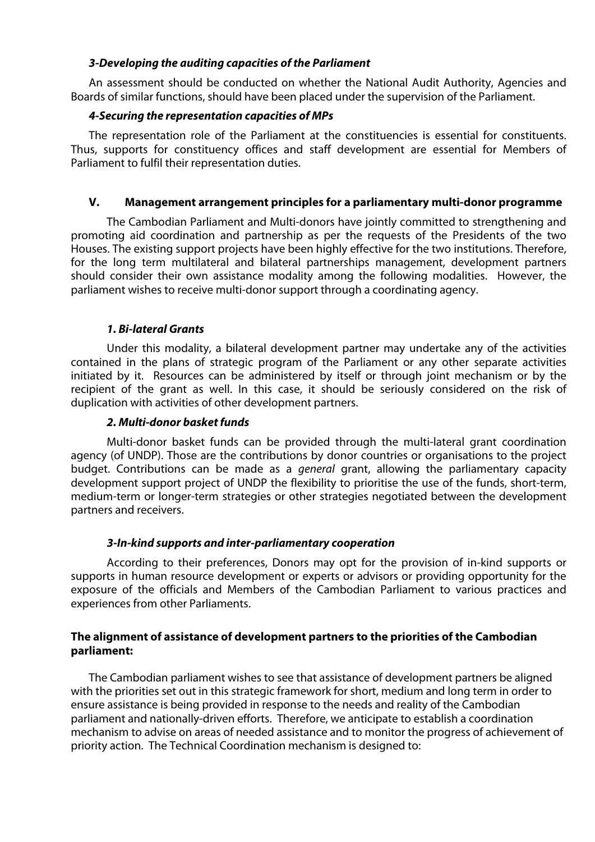## **3-Developing the auditing capacities of the Parliament**

An assessment should be conducted on whether the National Audit Authority, Agencies and Boards of similar functions, should have been placed under the supervision of the Parliament.

## **4-Securing the representation capacities of MPs**

The representation role of the Parliament at the constituencies is essential for constituents. Thus, supports for constituency offices and staff development are essential for Members of Parliament to fulfil their representation duties.

## **V. Management arrangement principles for a parliamentary multi-donor programme**

The Cambodian Parliament and Multi-donors have jointly committed to strengthening and promoting aid coordination and partnership as per the requests of the Presidents of the two Houses. The existing support projects have been highly effective for the two institutions. Therefore, for the long term multilateral and bilateral partnerships management, development partners should consider their own assistance modality among the following modalities. However, the parliament wishes to receive multi-donor support through a coordinating agency.

## **1. Bi-lateral Grants**

Under this modality, a bilateral development partner may undertake any of the activities contained in the plans of strategic program of the Parliament or any other separate activities initiated by it. Resources can be administered by itself or through joint mechanism or by the recipient of the grant as well. In this case, it should be seriously considered on the risk of duplication with activities of other development partners.

#### **2. Multi-donor basket funds**

Multi-donor basket funds can be provided through the multi-lateral grant coordination agency (of UNDP). Those are the contributions by donor countries or organisations to the project budget. Contributions can be made as a general grant, allowing the parliamentary capacity development support project of UNDP the flexibility to prioritise the use of the funds, short-term, medium-term or longer-term strategies or other strategies negotiated between the development partners and receivers.

#### **3-In-kind supports and inter-parliamentary cooperation**

According to their preferences, Donors may opt for the provision of in-kind supports or supports in human resource development or experts or advisors or providing opportunity for the exposure of the officials and Members of the Cambodian Parliament to various practices and experiences from other Parliaments.

## **The alignment of assistance of development partners to the priorities of the Cambodian parliament:**

The Cambodian parliament wishes to see that assistance of development partners be aligned with the priorities set out in this strategic framework for short, medium and long term in order to ensure assistance is being provided in response to the needs and reality of the Cambodian parliament and nationally-driven efforts. Therefore, we anticipate to establish a coordination mechanism to advise on areas of needed assistance and to monitor the progress of achievement of priority action. The Technical Coordination mechanism is designed to: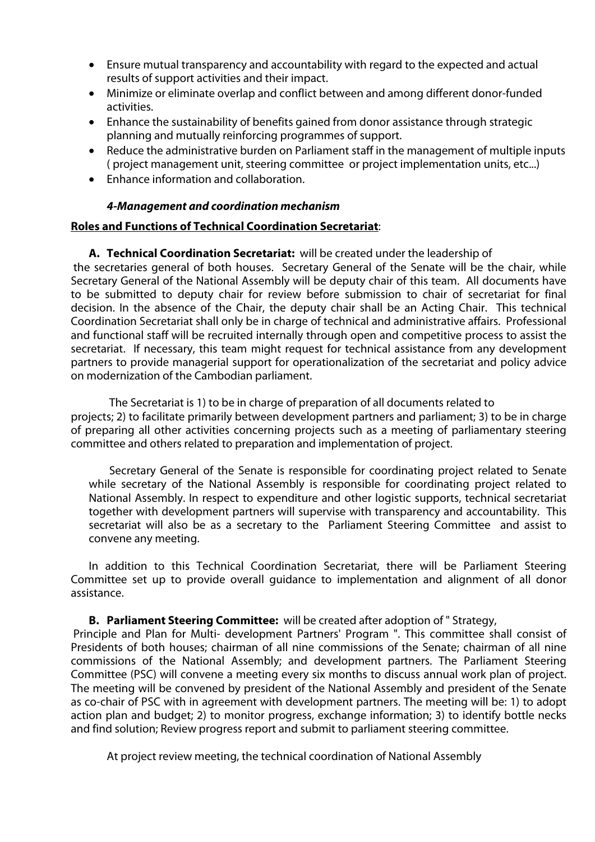- Ensure mutual transparency and accountability with regard to the expected and actual results of support activities and their impact.
- ! Minimize or eliminate overlap and conflict between and among different donor-funded activities.
- Enhance the sustainability of benefits gained from donor assistance through strategic planning and mutually reinforcing programmes of support.
- ! Reduce the administrative burden on Parliament staff in the management of multiple inputs ( project management unit, steering committee or project implementation units, etc...)
- Enhance information and collaboration.

## **4-Management and coordination mechanism**

## **Roles and Functions of Technical Coordination Secretariat**:

**A. Technical Coordination Secretariat:** will be created under the leadership of the secretaries general of both houses. Secretary General of the Senate will be the chair, while Secretary General of the National Assembly will be deputy chair of this team. All documents have to be submitted to deputy chair for review before submission to chair of secretariat for final decision. In the absence of the Chair, the deputy chair shall be an Acting Chair. This technical Coordination Secretariat shall only be in charge of technical and administrative affairs. Professional and functional staff will be recruited internally through open and competitive process to assist the secretariat. If necessary, this team might request for technical assistance from any development partners to provide managerial support for operationalization of the secretariat and policy advice on modernization of the Cambodian parliament.

The Secretariat is 1) to be in charge of preparation of all documents related to projects; 2) to facilitate primarily between development partners and parliament; 3) to be in charge of preparing all other activities concerning projects such as a meeting of parliamentary steering committee and others related to preparation and implementation of project.

Secretary General of the Senate is responsible for coordinating project related to Senate while secretary of the National Assembly is responsible for coordinating project related to National Assembly. In respect to expenditure and other logistic supports, technical secretariat together with development partners will supervise with transparency and accountability. This secretariat will also be as a secretary to the Parliament Steering Committee and assist to convene any meeting.

In addition to this Technical Coordination Secretariat, there will be Parliament Steering Committee set up to provide overall guidance to implementation and alignment of all donor assistance.

## **B. Parliament Steering Committee:** will be created after adoption of " Strategy,

Principle and Plan for Multi- development Partners' Program ". This committee shall consist of Presidents of both houses; chairman of all nine commissions of the Senate; chairman of all nine commissions of the National Assembly; and development partners. The Parliament Steering Committee (PSC) will convene a meeting every six months to discuss annual work plan of project. The meeting will be convened by president of the National Assembly and president of the Senate as co-chair of PSC with in agreement with development partners. The meeting will be: 1) to adopt action plan and budget; 2) to monitor progress, exchange information; 3) to identify bottle necks and find solution; Review progress report and submit to parliament steering committee.

At project review meeting, the technical coordination of National Assembly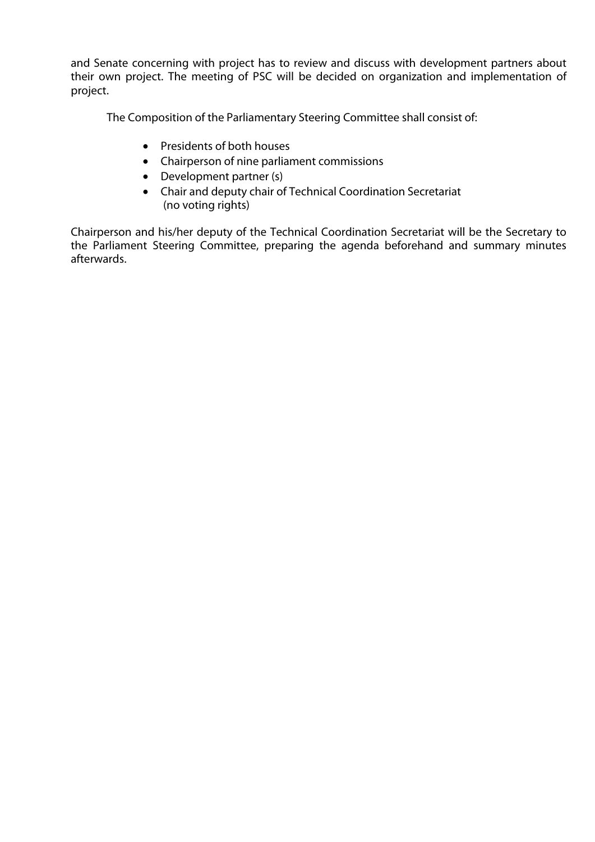and Senate concerning with project has to review and discuss with development partners about their own project. The meeting of PSC will be decided on organization and implementation of project.

The Composition of the Parliamentary Steering Committee shall consist of:

- Presidents of both houses
- Chairperson of nine parliament commissions
- Development partner (s)
- Chair and deputy chair of Technical Coordination Secretariat (no voting rights)

Chairperson and his/her deputy of the Technical Coordination Secretariat will be the Secretary to the Parliament Steering Committee, preparing the agenda beforehand and summary minutes afterwards.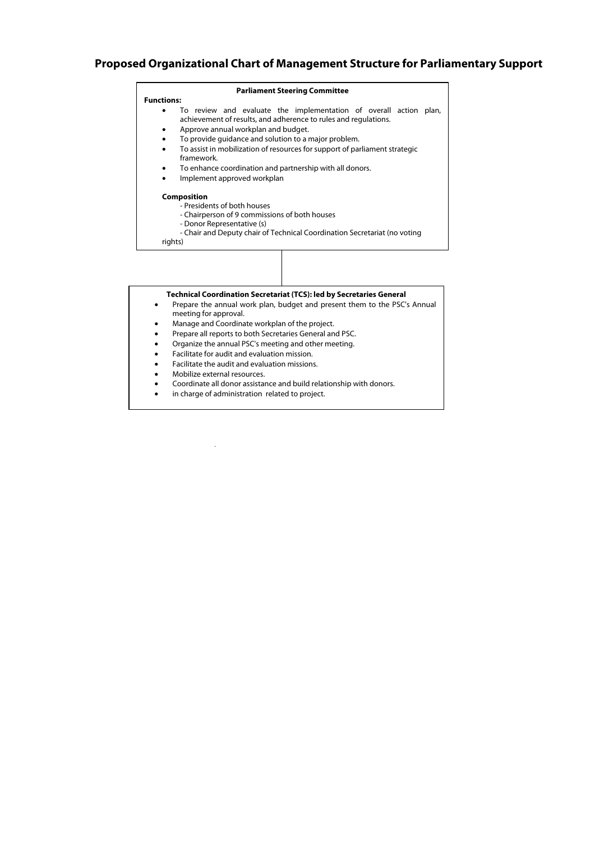#### **Proposed Organizational Chart of Management Structure for Parliamentary Support**

#### **Parliament Steering Committee**

- **Functions:** ! To review and evaluate the implementation of overall action plan, achievement of results, and adherence to rules and regulations.
	- Approve annual workplan and budget.
	- ! To provide guidance and solution to a major problem.
	- ! To assist in mobilization of resources for support of parliament strategic
		- framework.
	- To enhance coordination and partnership with all donors.
	- ! Implement approved workplan

**Composition**

- Presidents of both houses - Chairperson of 9 commissions of both houses
- Donor Representative (s)
- Chair and Deputy chair of Technical Coordination Secretariat (no voting

rights)

#### **Technical Coordination Secretariat (TCS): led by Secretaries General**

- ! Prepare the annual work plan, budget and present them to the PSC's Annual meeting for approval.
- Manage and Coordinate workplan of the project.
- ! Prepare all reports to both Secretaries General and PSC.
- Organize the annual PSC's meeting and other meeting.
- Facilitate for audit and evaluation mission.
- ! Facilitate the audit and evaluation missions.
- Mobilize external resources.
- Coordinate all donor assistance and build relationship with donors.
- in charge of administration related to project.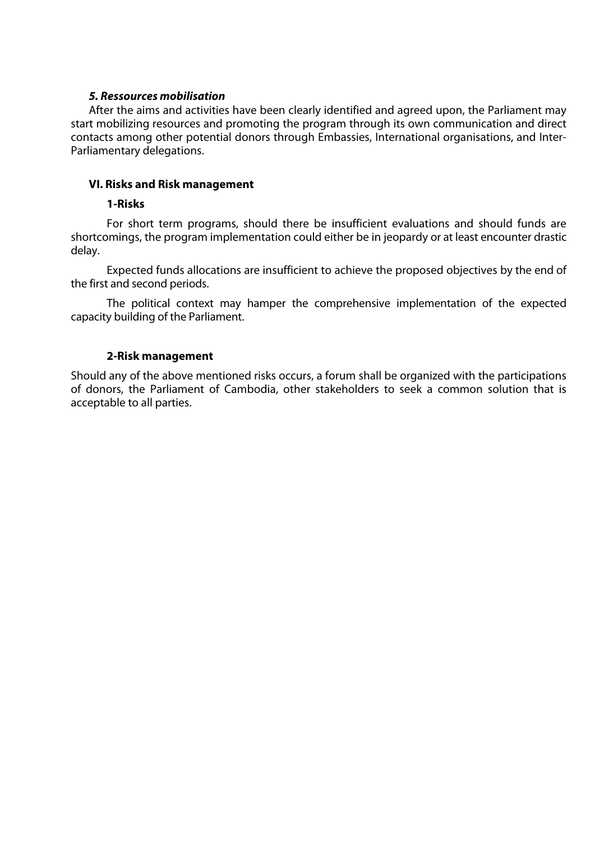#### **5. Ressources mobilisation**

After the aims and activities have been clearly identified and agreed upon, the Parliament may start mobilizing resources and promoting the program through its own communication and direct contacts among other potential donors through Embassies, International organisations, and Inter-Parliamentary delegations.

## **VI. Risks and Risk management**

#### **1-Risks**

For short term programs, should there be insufficient evaluations and should funds are shortcomings, the program implementation could either be in jeopardy or at least encounter drastic delay.

Expected funds allocations are insufficient to achieve the proposed objectives by the end of the first and second periods.

The political context may hamper the comprehensive implementation of the expected capacity building of the Parliament.

## **2-Risk management**

Should any of the above mentioned risks occurs, a forum shall be organized with the participations of donors, the Parliament of Cambodia, other stakeholders to seek a common solution that is acceptable to all parties.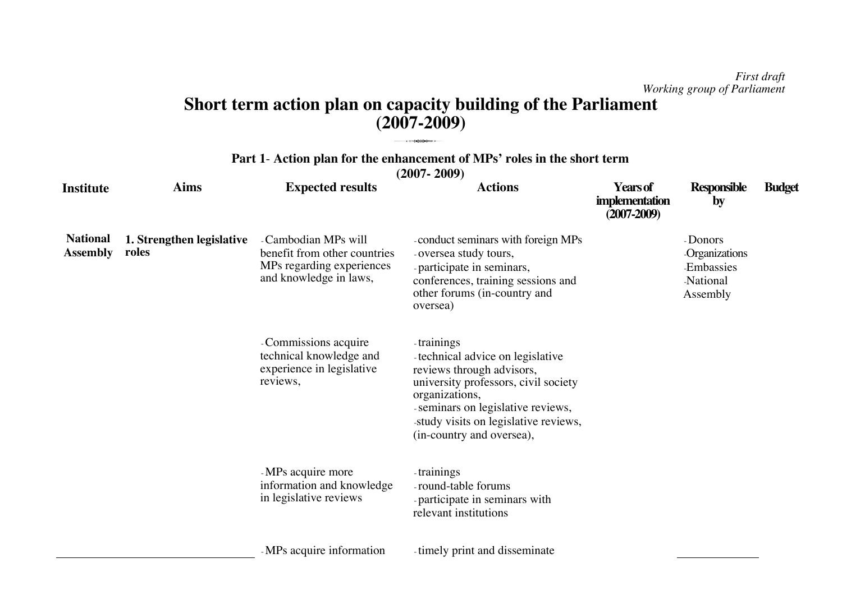## **Short term action plan on capacity building of the Parliament (2007-2009)** 3

|                                    | Part 1- Action plan for the enhancement of MPs' roles in the short term<br>$(2007 - 2009)$ |                                                                                                             |                                                                                                                                                                           |                                                             |                                                                              |               |  |
|------------------------------------|--------------------------------------------------------------------------------------------|-------------------------------------------------------------------------------------------------------------|---------------------------------------------------------------------------------------------------------------------------------------------------------------------------|-------------------------------------------------------------|------------------------------------------------------------------------------|---------------|--|
| Institute                          | <b>Aims</b>                                                                                | <b>Expected results</b>                                                                                     | <b>Actions</b>                                                                                                                                                            | <b>Years of</b><br><i>implementation</i><br>$(2007 - 2009)$ | Responsible<br>$\mathbf{b}$                                                  | <b>Budget</b> |  |
| <b>National</b><br><b>Assembly</b> | 1. Strengthen legislative<br>roles                                                         | - Cambodian MPs will<br>benefit from other countries<br>MPs regarding experiences<br>and knowledge in laws, | conduct seminars with foreign MPs<br>-oversea study tours,<br>-participate in seminars,<br>conferences, training sessions and<br>other forums (in-country and<br>oversea) |                                                             | - Donors<br><b>Organizations</b><br><b>Embassies</b><br>National<br>Assembly |               |  |
|                                    |                                                                                            | -Commissions acquire<br>technical knowledge and                                                             | -trainings<br>technical advice on legislative                                                                                                                             |                                                             |                                                                              |               |  |

**Part 11 11 11 1**- **Action plan for the enhancement of M Ps' r oles in th e sh o rt te r**

| - MPs acquire more        | trainings                      |
|---------------------------|--------------------------------|
| information and knowledge | -round-table forums            |
| in legislative reviews    | - participate in seminars with |
|                           | relevant institutions          |

organizations,

- MPs acquire informatio

experience in legislative

re vie ws,

n timely print and disseminate

reviews through advisors,

(in-country and oversea),

university professors, civil society

- seminars on legislative reviews, -study visits on legislative reviews,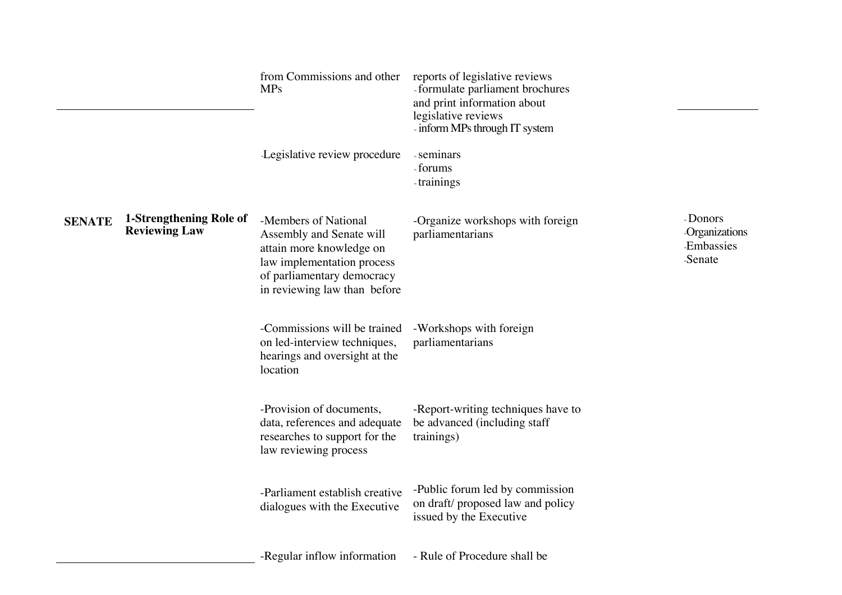|               |                                                 | from Commissions and other<br><b>MPs</b>                                                                                                                                 | reports of legislative reviews<br>-formulate parliament brochures<br>and print information about<br>legislative reviews<br>- inform MPs through IT system |                                                          |
|---------------|-------------------------------------------------|--------------------------------------------------------------------------------------------------------------------------------------------------------------------------|-----------------------------------------------------------------------------------------------------------------------------------------------------------|----------------------------------------------------------|
|               |                                                 | Legislative review procedure                                                                                                                                             | -seminars<br>-forums<br>trainings                                                                                                                         |                                                          |
| <b>SENATE</b> | 1-Strengthening Role of<br><b>Reviewing Law</b> | -Members of National<br>Assembly and Senate will<br>attain more knowledge on<br>law implementation process<br>of parliamentary democracy<br>in reviewing law than before | -Organize workshops with foreign<br>parliamentarians                                                                                                      | - Donors<br>Organizations<br><b>Embassies</b><br>-Senate |
|               |                                                 | -Commissions will be trained<br>on led-interview techniques,<br>hearings and oversight at the<br>location                                                                | -Workshops with foreign<br>parliamentarians                                                                                                               |                                                          |
|               |                                                 | -Provision of documents,<br>data, references and adequate<br>researches to support for the<br>law reviewing process                                                      | -Report-writing techniques have to<br>be advanced (including staff<br>trainings)                                                                          |                                                          |
|               |                                                 | -Parliament establish creative<br>dialogues with the Executive                                                                                                           | -Public forum led by commission<br>on draft/proposed law and policy<br>issued by the Executive                                                            |                                                          |
|               |                                                 | -Regular inflow information                                                                                                                                              | - Rule of Procedure shall be                                                                                                                              |                                                          |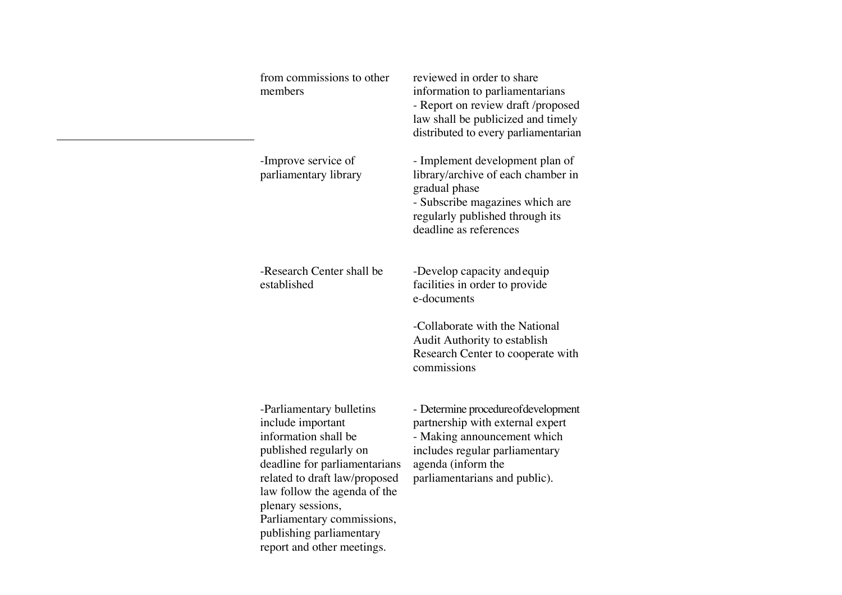| from commissions to other<br>members                                                                                                                                                                                                                                                                           | reviewed in order to share<br>information to parliamentarians<br>- Report on review draft /proposed<br>law shall be publicized and timely<br>distributed to every parliamentarian                |
|----------------------------------------------------------------------------------------------------------------------------------------------------------------------------------------------------------------------------------------------------------------------------------------------------------------|--------------------------------------------------------------------------------------------------------------------------------------------------------------------------------------------------|
| -Improve service of<br>parliamentary library                                                                                                                                                                                                                                                                   | - Implement development plan of<br>library/archive of each chamber in<br>gradual phase<br>- Subscribe magazines which are<br>regularly published through its<br>deadline as references           |
| -Research Center shall be<br>established                                                                                                                                                                                                                                                                       | -Develop capacity and equip<br>facilities in order to provide<br>e-documents<br>-Collaborate with the National                                                                                   |
|                                                                                                                                                                                                                                                                                                                | Audit Authority to establish<br>Research Center to cooperate with<br>commissions                                                                                                                 |
| -Parliamentary bulletins<br>include important<br>information shall be<br>published regularly on<br>deadline for parliamentarians<br>related to draft law/proposed<br>law follow the agenda of the<br>plenary sessions,<br>Parliamentary commissions,<br>publishing parliamentary<br>report and other meetings. | - Determine procedure of development<br>partnership with external expert<br>- Making announcement which<br>includes regular parliamentary<br>agenda (inform the<br>parliamentarians and public). |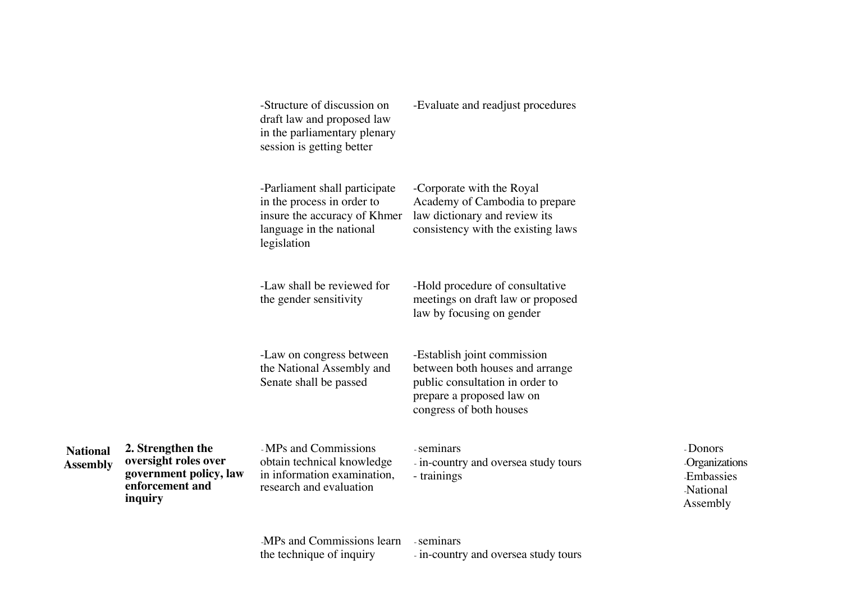|                                    |                                                                                                   | -Structure of discussion on<br>draft law and proposed law<br>in the parliamentary plenary<br>session is getting better                 | -Evaluate and readjust procedures                                                                                                                         |                                                                              |
|------------------------------------|---------------------------------------------------------------------------------------------------|----------------------------------------------------------------------------------------------------------------------------------------|-----------------------------------------------------------------------------------------------------------------------------------------------------------|------------------------------------------------------------------------------|
|                                    |                                                                                                   | -Parliament shall participate<br>in the process in order to<br>insure the accuracy of Khmer<br>language in the national<br>legislation | -Corporate with the Royal<br>Academy of Cambodia to prepare<br>law dictionary and review its<br>consistency with the existing laws                        |                                                                              |
|                                    |                                                                                                   | -Law shall be reviewed for<br>the gender sensitivity                                                                                   | -Hold procedure of consultative<br>meetings on draft law or proposed<br>law by focusing on gender                                                         |                                                                              |
|                                    |                                                                                                   | -Law on congress between<br>the National Assembly and<br>Senate shall be passed                                                        | -Establish joint commission<br>between both houses and arrange<br>public consultation in order to<br>prepare a proposed law on<br>congress of both houses |                                                                              |
| <b>National</b><br><b>Assembly</b> | 2. Strengthen the<br>oversight roles over<br>government policy, law<br>enforcement and<br>inquiry | -MPs and Commissions<br>obtain technical knowledge<br>in information examination,<br>research and evaluation                           | - seminars<br>- in-country and oversea study tours<br>- trainings                                                                                         | - Donors<br><b>Organizations</b><br><b>Embassies</b><br>National<br>Assembly |
|                                    |                                                                                                   |                                                                                                                                        |                                                                                                                                                           |                                                                              |

MPs and Commissions learn seminars the technique of inquiry

- in-country and oversea study tours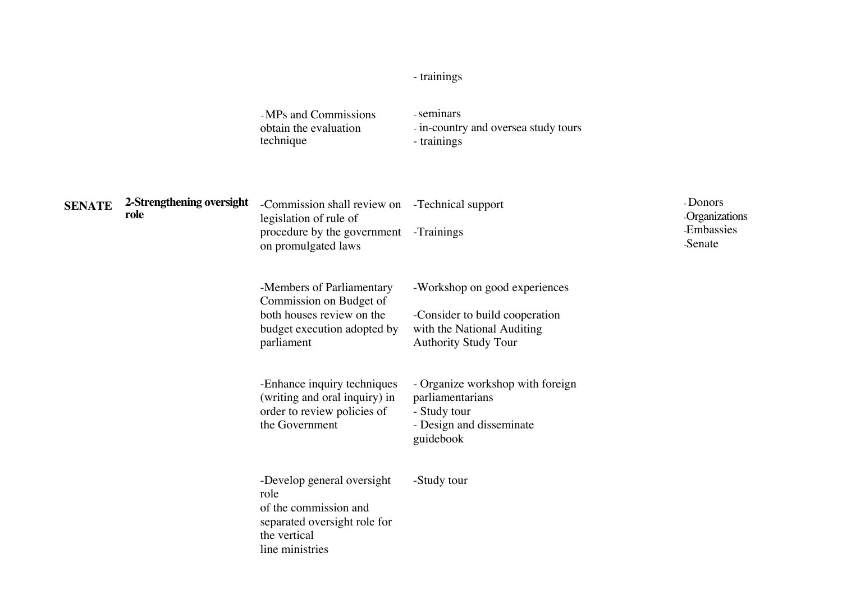#### - trainin gs

|               |                                   | -MPs and Commissions<br>obtain the evaluation<br>technique                                                                                | - seminars<br>- in-country and oversea study tours<br>- trainings                                                            |                                                          |
|---------------|-----------------------------------|-------------------------------------------------------------------------------------------------------------------------------------------|------------------------------------------------------------------------------------------------------------------------------|----------------------------------------------------------|
| <b>SENATE</b> | 2-Strengthening oversight<br>role | -Commission shall review on -Technical support<br>legislation of rule of<br>procedure by the government -Trainings<br>on promulgated laws |                                                                                                                              | - Donors<br><b>Organizations</b><br>Embassies<br>-Senate |
|               |                                   | -Members of Parliamentary<br>Commission on Budget of<br>both houses review on the<br>budget execution adopted by<br>parliament            | -Workshop on good experiences<br>-Consider to build cooperation<br>with the National Auditing<br><b>Authority Study Tour</b> |                                                          |
|               |                                   | -Enhance inquiry techniques<br>(writing and oral inquiry) in<br>order to review policies of<br>the Government                             | - Organize workshop with foreign<br>parliamentarians<br>- Study tour<br>- Design and disseminate<br>guidebook                |                                                          |
|               |                                   | -Develop general oversight<br>role<br>of the commission and<br>separated oversight role for<br>the vertical                               | -Study tour                                                                                                                  |                                                          |

lin e ministries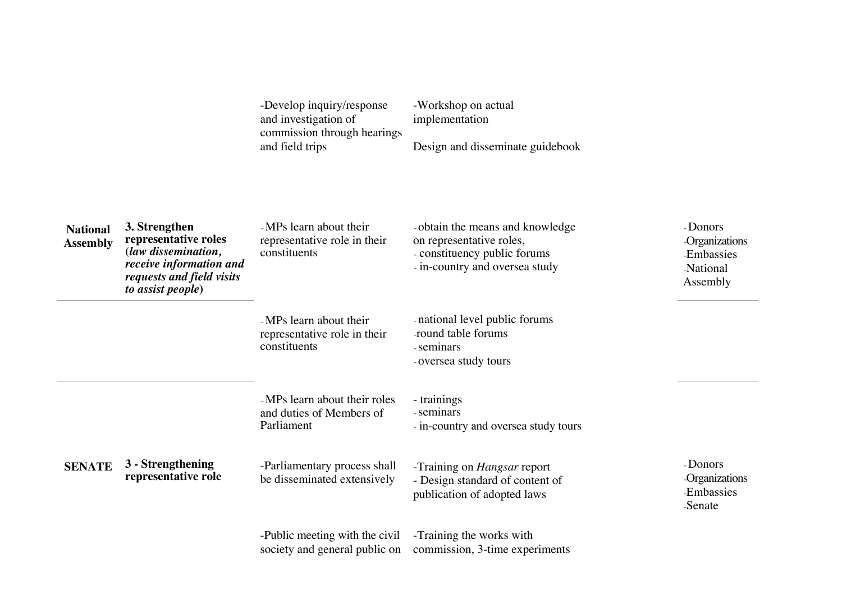-Develop inquiry/response and investigation of commission through hearings and field trips

-Workshop on actual implementation

Design and disseminate guidebook

| <b>National</b><br><b>Assembly</b> | 3. Strengthen<br>representative roles<br>(law dissemination,<br>receive information and<br>requests and field visits<br>to assist people) | -MPs learn about their<br>representative role in their<br>constituents  | - obtain the means and knowledge<br>on representative roles,<br>- constituency public forums<br>- in-country and oversea study | - Donors<br>Organizations<br><b>Embassies</b><br><b>National</b><br>Assembly |
|------------------------------------|-------------------------------------------------------------------------------------------------------------------------------------------|-------------------------------------------------------------------------|--------------------------------------------------------------------------------------------------------------------------------|------------------------------------------------------------------------------|
|                                    |                                                                                                                                           | -MPs learn about their<br>representative role in their<br>constituents  | - national level public forums<br>round table forums<br>- seminars<br>-oversea study tours                                     |                                                                              |
|                                    |                                                                                                                                           | - MPs learn about their roles<br>and duties of Members of<br>Parliament | - trainings<br>- seminars<br>- in-country and oversea study tours                                                              |                                                                              |
| <b>SENATE</b>                      | 3 - Strengthening<br>representative role                                                                                                  | -Parliamentary process shall<br>be disseminated extensively             | -Training on <i>Hangsar</i> report<br>- Design standard of content of<br>publication of adopted laws                           | - Donors<br>Organizations<br><b>Embassies</b><br>-Senate                     |
|                                    |                                                                                                                                           | -Public meeting with the civil<br>society and general public on         | -Training the works with<br>commission, 3-time experiments                                                                     |                                                                              |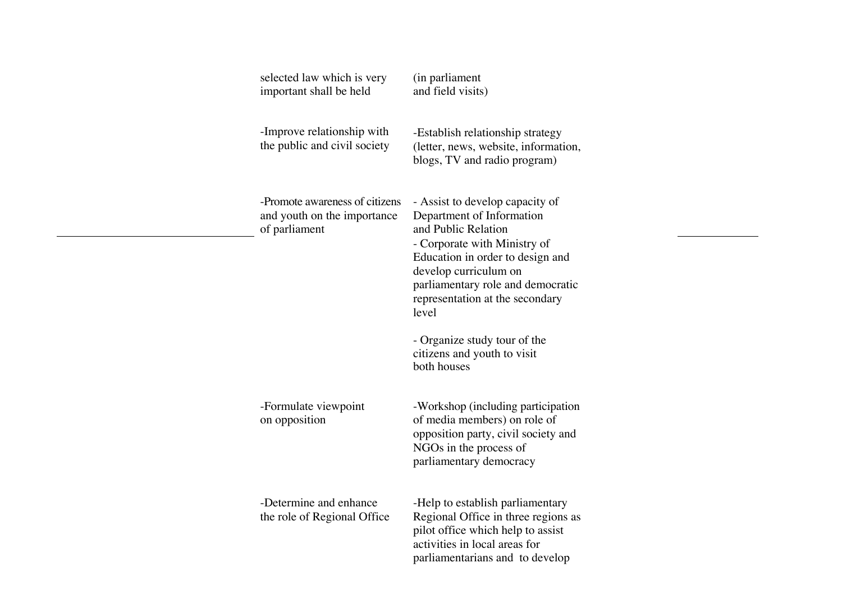| selected law which is very<br>important shall be held                          | (in parliament<br>and field visits)                                                                                                                                                                                                                                                                                                             |
|--------------------------------------------------------------------------------|-------------------------------------------------------------------------------------------------------------------------------------------------------------------------------------------------------------------------------------------------------------------------------------------------------------------------------------------------|
| -Improve relationship with<br>the public and civil society                     | -Establish relationship strategy<br>(letter, news, website, information,<br>blogs, TV and radio program)                                                                                                                                                                                                                                        |
| -Promote awareness of citizens<br>and youth on the importance<br>of parliament | - Assist to develop capacity of<br>Department of Information<br>and Public Relation<br>- Corporate with Ministry of<br>Education in order to design and<br>develop curriculum on<br>parliamentary role and democratic<br>representation at the secondary<br>level<br>- Organize study tour of the<br>citizens and youth to visit<br>both houses |
| -Formulate viewpoint<br>on opposition                                          | -Workshop (including participation<br>of media members) on role of<br>opposition party, civil society and<br>NGOs in the process of<br>parliamentary democracy                                                                                                                                                                                  |
| -Determine and enhance<br>the role of Regional Office                          | -Help to establish parliamentary<br>Regional Office in three regions as<br>pilot office which help to assist<br>activities in local areas for<br>parliamentarians and to develop                                                                                                                                                                |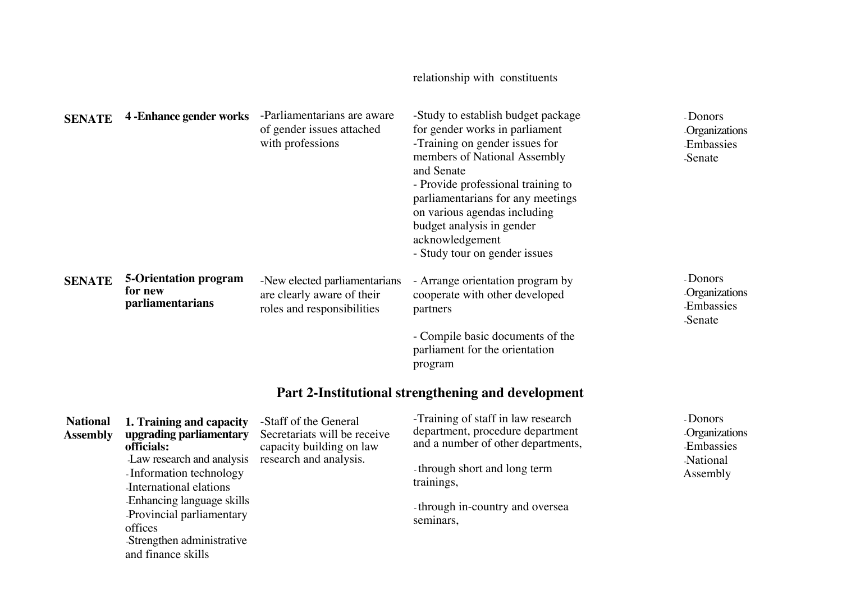| <b>SENATE</b>                      | <b>4 - Enhance gender works</b>                                                                                                                                                                                                                                           | -Parliamentarians are aware<br>of gender issues attached<br>with professions                                | -Study to establish budget package<br>for gender works in parliament<br>-Training on gender issues for<br>members of National Assembly<br>and Senate<br>- Provide professional training to<br>parliamentarians for any meetings<br>on various agendas including<br>budget analysis in gender<br>acknowledgement<br>- Study tour on gender issues | - Donors<br>Organizations<br><b>Embassies</b><br>-Senate                     |
|------------------------------------|---------------------------------------------------------------------------------------------------------------------------------------------------------------------------------------------------------------------------------------------------------------------------|-------------------------------------------------------------------------------------------------------------|--------------------------------------------------------------------------------------------------------------------------------------------------------------------------------------------------------------------------------------------------------------------------------------------------------------------------------------------------|------------------------------------------------------------------------------|
| <b>SENATE</b>                      | <b>5-Orientation program</b><br>for new<br>parliamentarians                                                                                                                                                                                                               | -New elected parliamentarians<br>are clearly aware of their<br>roles and responsibilities                   | - Arrange orientation program by<br>cooperate with other developed<br>partners<br>- Compile basic documents of the<br>parliament for the orientation<br>program                                                                                                                                                                                  | - Donors<br>Organizations<br><b>Embassies</b><br>-Senate                     |
|                                    |                                                                                                                                                                                                                                                                           |                                                                                                             | Part 2-Institutional strengthening and development                                                                                                                                                                                                                                                                                               |                                                                              |
| <b>National</b><br><b>Assembly</b> | 1. Training and capacity<br>upgrading parliamentary<br>officials:<br>Law research and analysis<br>Information technology<br>International elations<br>Enhancing language skills<br>Provincial parliamentary<br>offices<br>Strengthen administrative<br>and finance skills | -Staff of the General<br>Secretariats will be receive<br>capacity building on law<br>research and analysis. | -Training of staff in law research<br>department, procedure department<br>and a number of other departments,<br>-through short and long term<br>trainings,<br>-through in-country and oversea<br>seminars,                                                                                                                                       | - Donors<br>Organizations<br><b>Embassies</b><br><b>National</b><br>Assembly |

relationship with constituents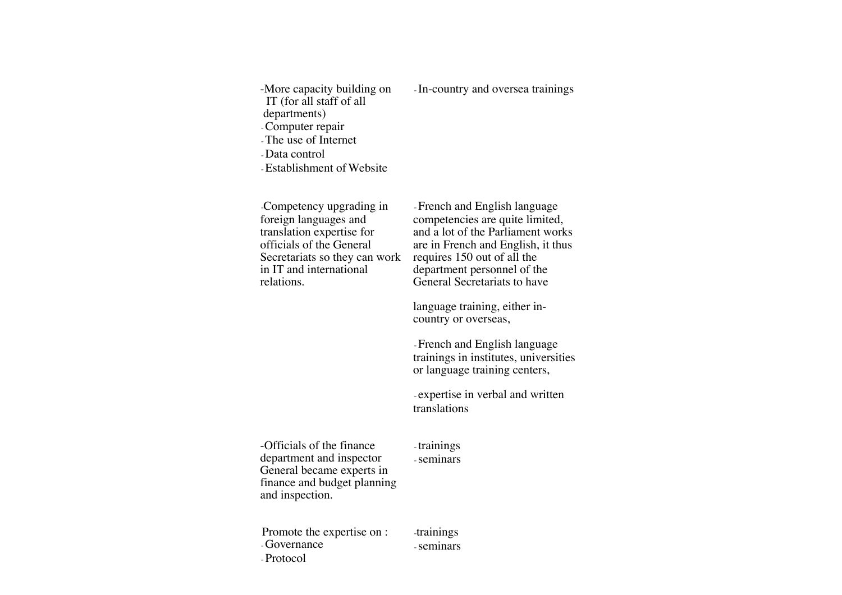-More capacity building on IT (for all staff of all d e p artm e nts) - Computer repair - The use of Internet " Data control - Establishment of Website " In-country and oversea trainings Competency upgrading in foreign languages and translation expertise for officials of the General Secretariats so they can work in IT and international relatio ns. - French and English language competencies are quite limited, and a lot of the Parliam ent works are in French and English, it thus requires 150 out of all the department personnel of the General Secretariats to have language training, either incountry or overseas, - French and English language trainin gs in institutes, u niv ersities or language training centers, - expertise in verbal and written tra nslatio ns -Officials of the finance department and inspector General became experts in finance and budget planning and inspection. -trainings - seminars Promote the expertise on : - Governance - Protocol -trainings - seminars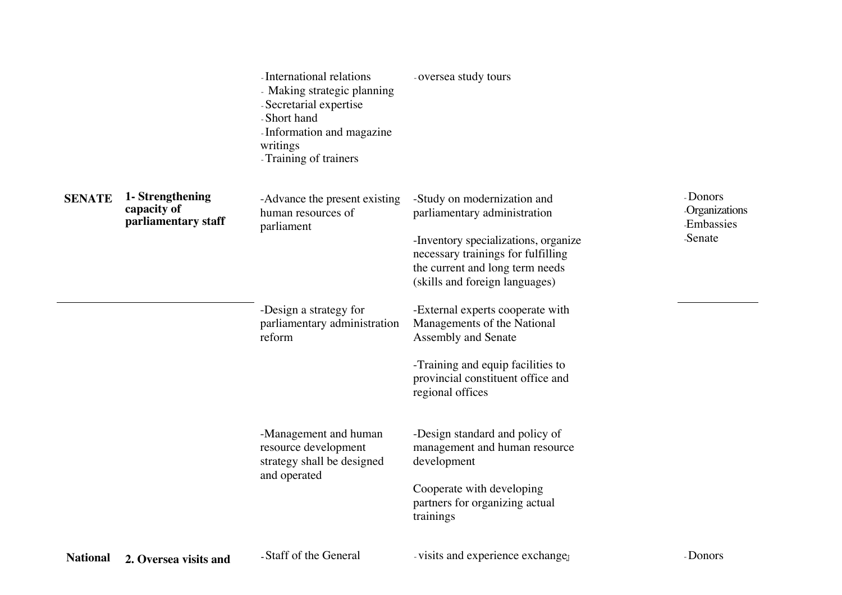|                 |                                                        | - International relations<br>- Making strategic planning<br>- Secretarial expertise<br>-Short hand<br>- Information and magazine<br>writings<br>- Training of trainers | -oversea study tours                                                                                                                                                                                           |                                                          |
|-----------------|--------------------------------------------------------|------------------------------------------------------------------------------------------------------------------------------------------------------------------------|----------------------------------------------------------------------------------------------------------------------------------------------------------------------------------------------------------------|----------------------------------------------------------|
| <b>SENATE</b>   | 1- Strengthening<br>capacity of<br>parliamentary staff | -Advance the present existing<br>human resources of<br>parliament                                                                                                      | -Study on modernization and<br>parliamentary administration<br>-Inventory specializations, organize<br>necessary trainings for fulfilling<br>the current and long term needs<br>(skills and foreign languages) | - Donors<br>Organizations<br><b>Embassies</b><br>-Senate |
|                 |                                                        | -Design a strategy for<br>parliamentary administration<br>reform                                                                                                       | -External experts cooperate with<br>Managements of the National<br>Assembly and Senate<br>-Training and equip facilities to<br>provincial constituent office and<br>regional offices                           |                                                          |
|                 |                                                        | -Management and human<br>resource development<br>strategy shall be designed<br>and operated                                                                            | -Design standard and policy of<br>management and human resource<br>development<br>Cooperate with developing<br>partners for organizing actual<br>trainings                                                     |                                                          |
| <b>National</b> | 2. Oversea visits and                                  | -Staff of the General                                                                                                                                                  | visits and experience exchanged                                                                                                                                                                                | - Donors                                                 |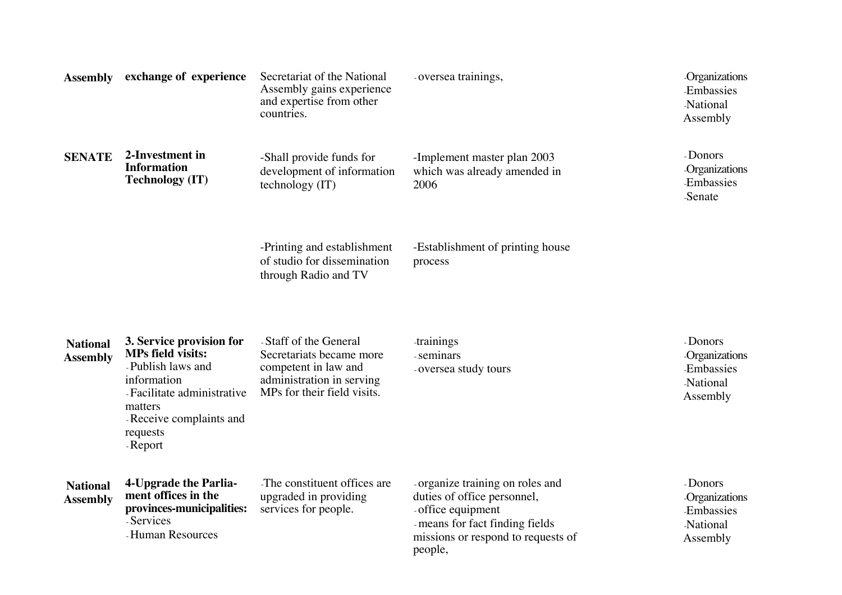| <b>Assembly</b>                    | exchange of experience                                                                                                                                                                 | Secretariat of the National<br>Assembly gains experience<br>and expertise from other<br>countries.                                     | -oversea trainings,                                                                                                                                                      | <b>Organizations</b><br>Embassies<br><b>National</b><br>Assembly |
|------------------------------------|----------------------------------------------------------------------------------------------------------------------------------------------------------------------------------------|----------------------------------------------------------------------------------------------------------------------------------------|--------------------------------------------------------------------------------------------------------------------------------------------------------------------------|------------------------------------------------------------------|
| <b>SENATE</b>                      | 2-Investment in<br><b>Information</b><br><b>Technology (IT)</b>                                                                                                                        | -Shall provide funds for<br>development of information<br>technology (IT)                                                              | -Implement master plan 2003<br>which was already amended in<br>2006                                                                                                      | - Donors<br><b>Organizations</b><br>Embassies<br>-Senate         |
|                                    |                                                                                                                                                                                        | -Printing and establishment<br>of studio for dissemination<br>through Radio and TV                                                     | -Establishment of printing house<br>process                                                                                                                              |                                                                  |
| <b>National</b><br><b>Assembly</b> | 3. Service provision for<br><b>MPs field visits:</b><br>-Publish laws and<br>information<br>- Facilitate administrative<br>matters<br>- Receive complaints and<br>requests<br>- Report | - Staff of the General<br>Secretariats became more<br>competent in law and<br>administration in serving<br>MPs for their field visits. | <i>trainings</i><br>- seminars<br>-oversea study tours                                                                                                                   | - Donors<br>Organizations<br>Embassies<br>National<br>Assembly   |
| <b>National</b><br><b>Assembly</b> | 4-Upgrade the Parlia-<br>ment offices in the<br>provinces-municipalities:<br>-Services<br>-Human Resources                                                                             | The constituent offices are<br>upgraded in providing<br>services for people.                                                           | -organize training on roles and<br>duties of office personnel,<br>- office equipment<br>- means for fact finding fields<br>missions or respond to requests of<br>people, | - Donors<br>Organizations<br>Embassies<br>National<br>Assembly   |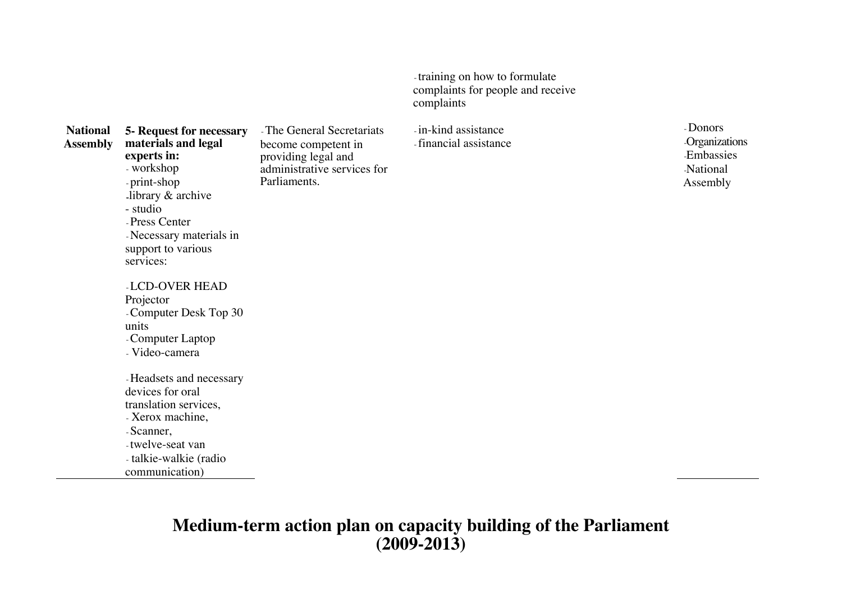training on how to formulate complaints for people and receive c o mplaints

**National Asse m bly 5- R e q u est fo r n e c essa r y materials and legal e x p e rts i n:** - workshop - print-shop -library & arc hiv e - stu dio " The General Secretariats become competent in pro vidin g le g al a n d a d ministrativ e s ervic es for Parliaments.

- Press Center

servic es:

Proje ctor

u nits

- Necessary materials in support to various

LCD-OVER HEAD

- Computer Laptop - Video-camera

d e vic es for oral tra nslatio n s ervic es, - Xerox machine,

- twelve-seat van - talkie-walkie (radio communication)

- Scanner,

- Computer Desk Top 30

- Headsets and necessary

in-kind assistance - financial assistance " Donors **Organizations** -Embassies National Asse mbly

## **Medium-term action plan on capacity building of the Parliament (2009-2013)**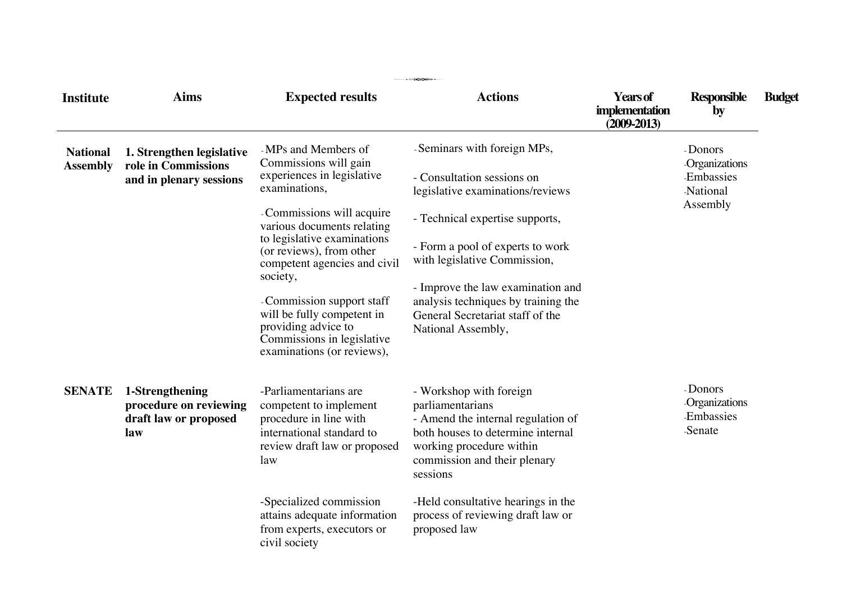| <b>Institute</b>                   | <b>Aims</b>                                                                 | <b>Expected results</b>                                                                                                                                                                                                                                                                                                                                                                                   | $\cdots$ $\cdots$<br><b>Actions</b>                                                                                                                                                                                                                                                                                                        | <b>Years of</b><br>implementation<br>$(2009 - 2013)$ | <b>Responsible</b><br>by                                              | <b>Budget</b> |
|------------------------------------|-----------------------------------------------------------------------------|-----------------------------------------------------------------------------------------------------------------------------------------------------------------------------------------------------------------------------------------------------------------------------------------------------------------------------------------------------------------------------------------------------------|--------------------------------------------------------------------------------------------------------------------------------------------------------------------------------------------------------------------------------------------------------------------------------------------------------------------------------------------|------------------------------------------------------|-----------------------------------------------------------------------|---------------|
| <b>National</b><br><b>Assembly</b> | 1. Strengthen legislative<br>role in Commissions<br>and in plenary sessions | -MPs and Members of<br>Commissions will gain<br>experiences in legislative<br>examinations,<br>Commissions will acquire<br>various documents relating<br>to legislative examinations<br>(or reviews), from other<br>competent agencies and civil<br>society,<br>Commission support staff<br>will be fully competent in<br>providing advice to<br>Commissions in legislative<br>examinations (or reviews), | -Seminars with foreign MPs,<br>- Consultation sessions on<br>legislative examinations/reviews<br>- Technical expertise supports,<br>- Form a pool of experts to work<br>with legislative Commission,<br>- Improve the law examination and<br>analysis techniques by training the<br>General Secretariat staff of the<br>National Assembly, |                                                      | - Donors<br>Organizations<br><b>Embassies</b><br>National<br>Assembly |               |
| <b>SENATE</b>                      | 1-Strengthening<br>procedure on reviewing<br>draft law or proposed<br>law   | -Parliamentarians are<br>competent to implement<br>procedure in line with<br>international standard to<br>review draft law or proposed<br>law<br>-Specialized commission<br>attains adequate information<br>from experts, executors or<br>civil society                                                                                                                                                   | - Workshop with foreign<br>parliamentarians<br>- Amend the internal regulation of<br>both houses to determine internal<br>working procedure within<br>commission and their plenary<br>sessions<br>-Held consultative hearings in the<br>process of reviewing draft law or<br>proposed law                                                  |                                                      | - Donors<br>Organizations<br><b>Embassies</b><br>-Senate              |               |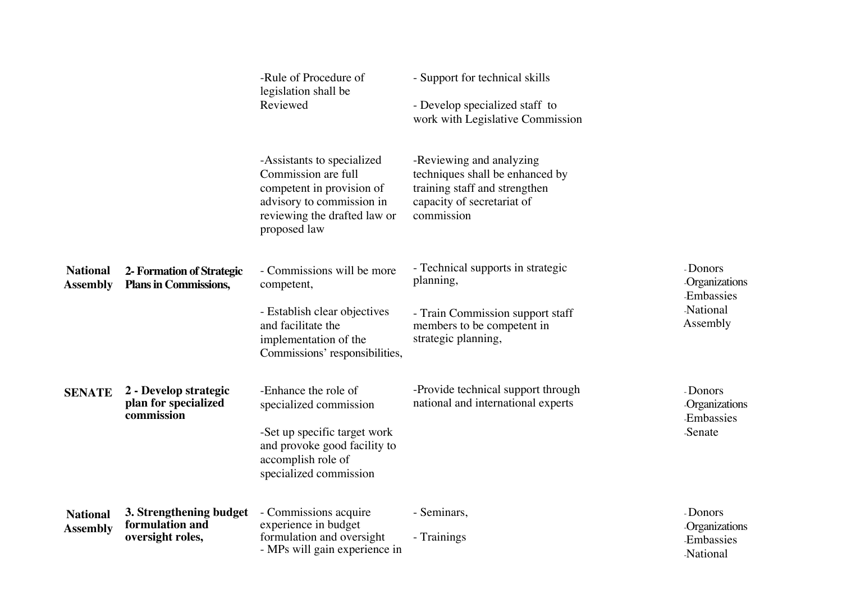|                                    |                                                                | -Rule of Procedure of<br>legislation shall be<br>Reviewed                                                                                                      | - Support for technical skills<br>- Develop specialized staff to<br>work with Legislative Commission                                     |                                                                              |
|------------------------------------|----------------------------------------------------------------|----------------------------------------------------------------------------------------------------------------------------------------------------------------|------------------------------------------------------------------------------------------------------------------------------------------|------------------------------------------------------------------------------|
|                                    |                                                                | -Assistants to specialized<br>Commission are full<br>competent in provision of<br>advisory to commission in<br>reviewing the drafted law or<br>proposed law    | -Reviewing and analyzing<br>techniques shall be enhanced by<br>training staff and strengthen<br>capacity of secretariat of<br>commission |                                                                              |
| <b>National</b><br><b>Assembly</b> | 2- Formation of Strategic<br><b>Plans in Commissions,</b>      | - Commissions will be more<br>competent,<br>- Establish clear objectives<br>and facilitate the<br>implementation of the<br>Commissions' responsibilities,      | - Technical supports in strategic<br>planning,<br>- Train Commission support staff<br>members to be competent in<br>strategic planning,  | - Donors<br><b>Organizations</b><br><b>Embassies</b><br>National<br>Assembly |
| <b>SENATE</b>                      | 2 - Develop strategic<br>plan for specialized<br>commission    | -Enhance the role of<br>specialized commission<br>-Set up specific target work<br>and provoke good facility to<br>accomplish role of<br>specialized commission | -Provide technical support through<br>national and international experts                                                                 | - Donors<br>Organizations<br>Embassies<br>-Senate                            |
| <b>National</b><br><b>Assembly</b> | 3. Strengthening budget<br>formulation and<br>oversight roles, | - Commissions acquire<br>experience in budget<br>formulation and oversight<br>- MPs will gain experience in                                                    | - Seminars,<br>- Trainings                                                                                                               | - Donors<br>Organizations<br><b>Embassies</b><br><b>National</b>             |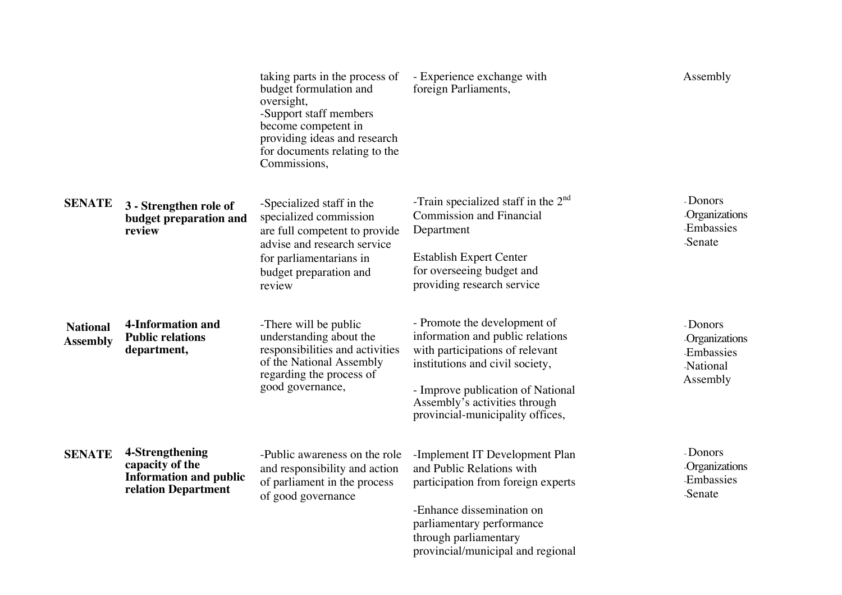|                                    |                                                                                            | taking parts in the process of<br>budget formulation and<br>oversight,<br>-Support staff members<br>become competent in<br>providing ideas and research<br>for documents relating to the<br>Commissions, | - Experience exchange with<br>foreign Parliaments,                                                                                                                                                                                               | Assembly                                                       |
|------------------------------------|--------------------------------------------------------------------------------------------|----------------------------------------------------------------------------------------------------------------------------------------------------------------------------------------------------------|--------------------------------------------------------------------------------------------------------------------------------------------------------------------------------------------------------------------------------------------------|----------------------------------------------------------------|
| <b>SENATE</b>                      | 3 - Strengthen role of<br>budget preparation and<br>review                                 | -Specialized staff in the<br>specialized commission<br>are full competent to provide<br>advise and research service<br>for parliamentarians in<br>budget preparation and<br>review                       | -Train specialized staff in the $2nd$<br><b>Commission and Financial</b><br>Department<br><b>Establish Expert Center</b><br>for overseeing budget and<br>providing research service                                                              | - Donors<br><b>Organizations</b><br>Embassies<br>-Senate       |
| <b>National</b><br><b>Assembly</b> | <b>4-Information and</b><br><b>Public relations</b><br>department,                         | -There will be public<br>understanding about the<br>responsibilities and activities<br>of the National Assembly<br>regarding the process of<br>good governance,                                          | - Promote the development of<br>information and public relations<br>with participations of relevant<br>institutions and civil society,<br>- Improve publication of National<br>Assembly's activities through<br>provincial-municipality offices, | - Donors<br>Organizations<br>Embassies<br>National<br>Assembly |
| <b>SENATE</b>                      | 4-Strengthening<br>capacity of the<br><b>Information and public</b><br>relation Department | -Public awareness on the role<br>and responsibility and action<br>of parliament in the process<br>of good governance                                                                                     | -Implement IT Development Plan<br>and Public Relations with<br>participation from foreign experts<br>-Enhance dissemination on<br>parliamentary performance<br>through parliamentary<br>provincial/municipal and regional                        | - Donors<br><b>Organizations</b><br>Embassies<br>-Senate       |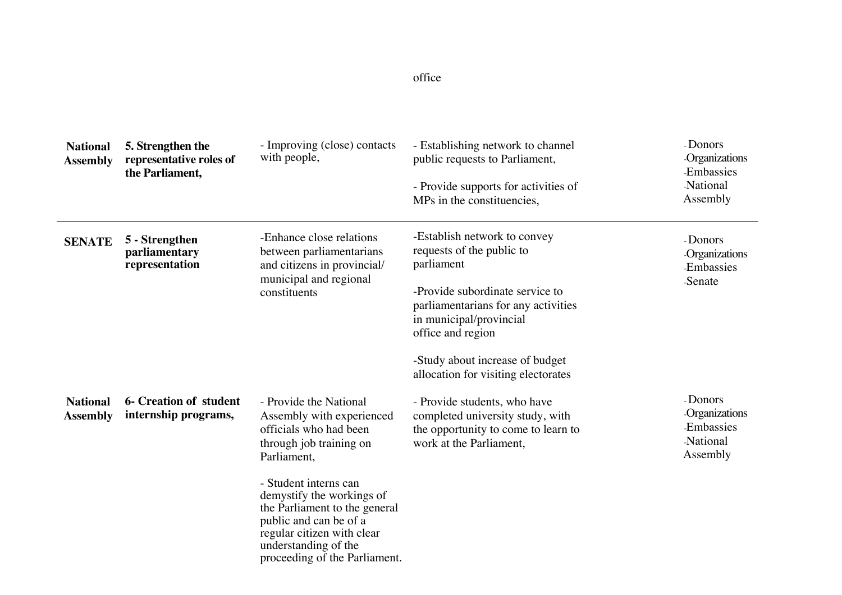#### offic e

| <b>National</b><br><b>Assembly</b> | 5. Strengthen the<br>representative roles of<br>the Parliament, | - Improving (close) contacts<br>with people,                                                                                                                                                                                                                                                                                    | - Establishing network to channel<br>public requests to Parliament,<br>- Provide supports for activities of<br>MPs in the constituencies,                                                                                                                                   | - Donors<br>Organizations<br>Embassies<br>National<br>Assembly               |
|------------------------------------|-----------------------------------------------------------------|---------------------------------------------------------------------------------------------------------------------------------------------------------------------------------------------------------------------------------------------------------------------------------------------------------------------------------|-----------------------------------------------------------------------------------------------------------------------------------------------------------------------------------------------------------------------------------------------------------------------------|------------------------------------------------------------------------------|
| <b>SENATE</b>                      | 5 - Strengthen<br>parliamentary<br>representation               | -Enhance close relations<br>between parliamentarians<br>and citizens in provincial/<br>municipal and regional<br>constituents                                                                                                                                                                                                   | -Establish network to convey<br>requests of the public to<br>parliament<br>-Provide subordinate service to<br>parliamentarians for any activities<br>in municipal/provincial<br>office and region<br>-Study about increase of budget<br>allocation for visiting electorates | - Donors<br>Organizations<br><b>Embassies</b><br>-Senate                     |
| <b>National</b><br><b>Assembly</b> | <b>6- Creation of student</b><br>internship programs,           | - Provide the National<br>Assembly with experienced<br>officials who had been<br>through job training on<br>Parliament,<br>- Student interns can<br>demystify the workings of<br>the Parliament to the general<br>public and can be of a<br>regular citizen with clear<br>understanding of the<br>proceeding of the Parliament. | - Provide students, who have<br>completed university study, with<br>the opportunity to come to learn to<br>work at the Parliament,                                                                                                                                          | - Donors<br><b>Organizations</b><br><b>Embassies</b><br>National<br>Assembly |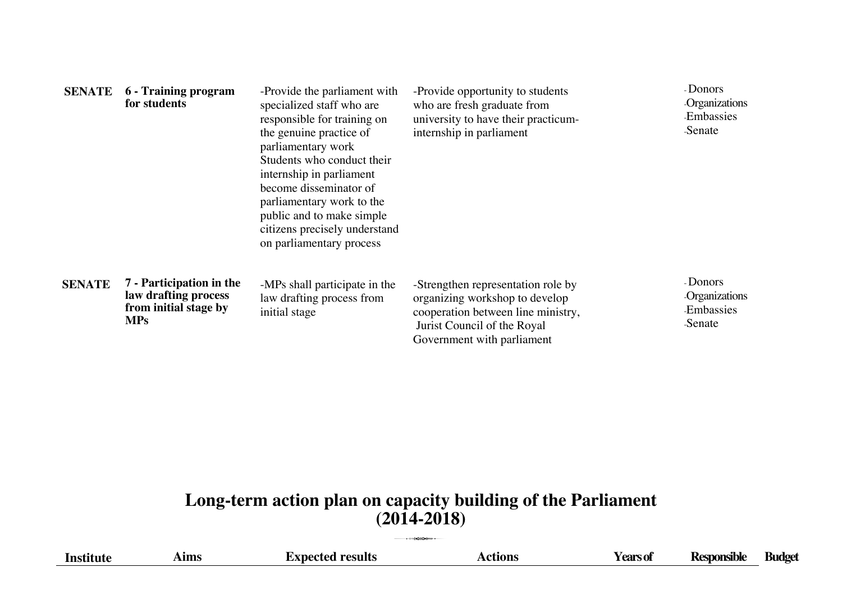| <b>SENATE</b> | <b>6</b> - Training program<br>for students                                             | -Provide the parliament with<br>specialized staff who are<br>responsible for training on<br>the genuine practice of<br>parliamentary work<br>Students who conduct their<br>internship in parliament<br>become disseminator of<br>parliamentary work to the<br>public and to make simple<br>citizens precisely understand<br>on parliamentary process | -Provide opportunity to students<br>who are fresh graduate from<br>university to have their practicum-<br>internship in parliament                                      | - Donors<br><b>Organizations</b><br><b>Embassies</b><br>Senate  |
|---------------|-----------------------------------------------------------------------------------------|------------------------------------------------------------------------------------------------------------------------------------------------------------------------------------------------------------------------------------------------------------------------------------------------------------------------------------------------------|-------------------------------------------------------------------------------------------------------------------------------------------------------------------------|-----------------------------------------------------------------|
| <b>SENATE</b> | 7 - Participation in the<br>law drafting process<br>from initial stage by<br><b>MPs</b> | -MPs shall participate in the<br>law drafting process from<br>initial stage                                                                                                                                                                                                                                                                          | -Strengthen representation role by<br>organizing workshop to develop<br>cooperation between line ministry,<br>Jurist Council of the Royal<br>Government with parliament | - Donors<br><b>Organizations</b><br><b>Embassies</b><br>-Senate |

# **Long-term action plan on capacity building of the Parliament**  $(2014-2018)$

| Institut | <b>Ims</b> | $\cdot$ tions | tears of | ~~nsible | ndoef |
|----------|------------|---------------|----------|----------|-------|
|          |            |               |          |          |       |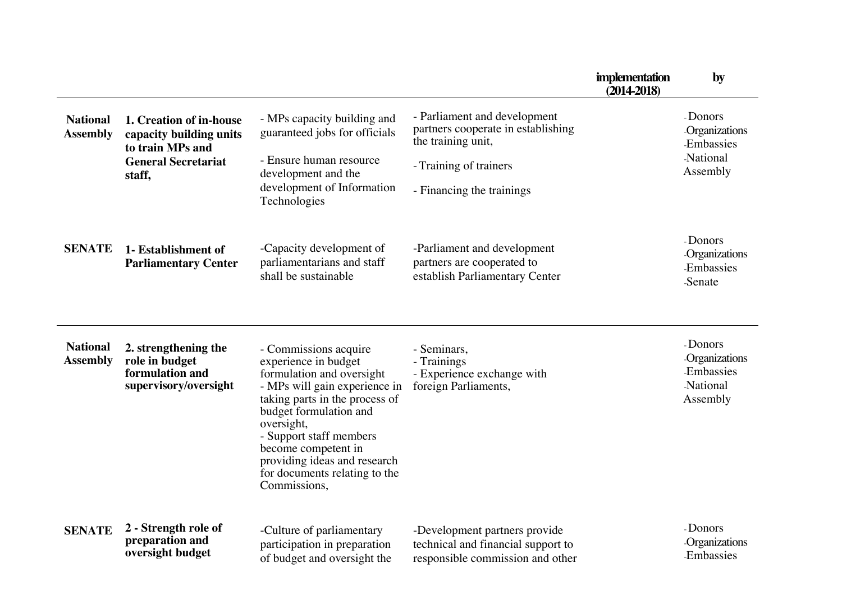|                                    |                                                                                                                |                                                                                                                                                                                                                                                                                                                          |                                                                                                                                                 | implementation<br>$(2014-2018)$ | by                                                             |
|------------------------------------|----------------------------------------------------------------------------------------------------------------|--------------------------------------------------------------------------------------------------------------------------------------------------------------------------------------------------------------------------------------------------------------------------------------------------------------------------|-------------------------------------------------------------------------------------------------------------------------------------------------|---------------------------------|----------------------------------------------------------------|
| <b>National</b><br><b>Assembly</b> | 1. Creation of in-house<br>capacity building units<br>to train MPs and<br><b>General Secretariat</b><br>staff, | - MPs capacity building and<br>guaranteed jobs for officials<br>- Ensure human resource<br>development and the<br>development of Information<br>Technologies                                                                                                                                                             | - Parliament and development<br>partners cooperate in establishing<br>the training unit,<br>- Training of trainers<br>- Financing the trainings |                                 | - Donors<br>Organizations<br>Embassies<br>National<br>Assembly |
| <b>SENATE</b>                      | 1- Establishment of<br><b>Parliamentary Center</b>                                                             | -Capacity development of<br>parliamentarians and staff<br>shall be sustainable                                                                                                                                                                                                                                           | -Parliament and development<br>partners are cooperated to<br>establish Parliamentary Center                                                     |                                 | - Donors<br>Organizations<br><b>Embassies</b><br>-Senate       |
| <b>National</b><br><b>Assembly</b> | 2. strengthening the<br>role in budget<br>formulation and<br>supervisory/oversight                             | - Commissions acquire<br>experience in budget<br>formulation and oversight<br>- MPs will gain experience in<br>taking parts in the process of<br>budget formulation and<br>oversight,<br>- Support staff members<br>become competent in<br>providing ideas and research<br>for documents relating to the<br>Commissions, | - Seminars,<br>- Trainings<br>- Experience exchange with<br>foreign Parliaments,                                                                |                                 | - Donors<br>Organizations<br>Embassies<br>National<br>Assembly |
| <b>SENATE</b>                      | 2 - Strength role of<br>preparation and<br>oversight budget                                                    | -Culture of parliamentary<br>participation in preparation<br>of budget and oversight the                                                                                                                                                                                                                                 | -Development partners provide<br>technical and financial support to<br>responsible commission and other                                         |                                 | - Donors<br>Organizations<br>Embassies                         |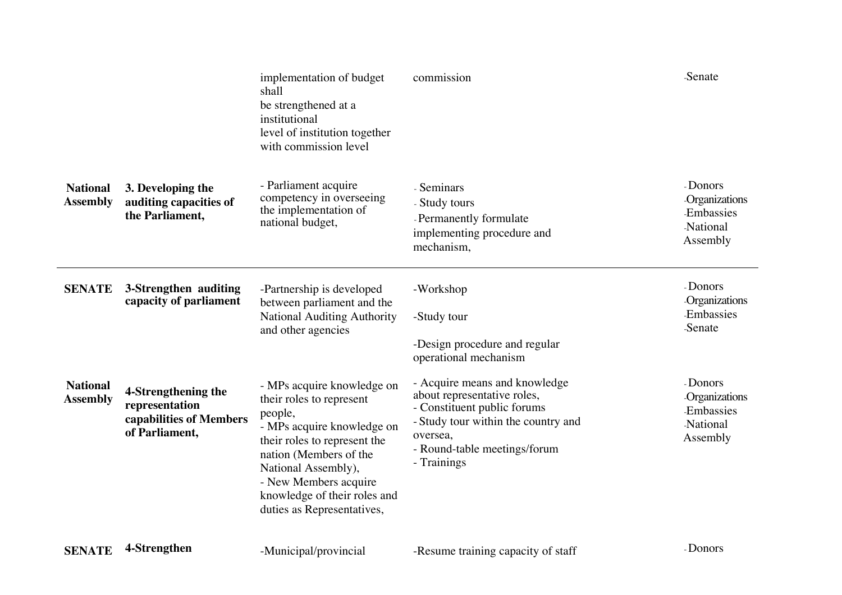|                                    |                                                                                    | implementation of budget<br>shall<br>be strengthened at a<br>institutional<br>level of institution together<br>with commission level                                                                                                                                    | commission                                                                                                                                                                                    | <b>Senate</b>                                                         |
|------------------------------------|------------------------------------------------------------------------------------|-------------------------------------------------------------------------------------------------------------------------------------------------------------------------------------------------------------------------------------------------------------------------|-----------------------------------------------------------------------------------------------------------------------------------------------------------------------------------------------|-----------------------------------------------------------------------|
| <b>National</b><br><b>Assembly</b> | 3. Developing the<br>auditing capacities of<br>the Parliament,                     | - Parliament acquire<br>competency in overseeing<br>the implementation of<br>national budget,                                                                                                                                                                           | - Seminars<br>- Study tours<br>- Permanently formulate<br>implementing procedure and<br>mechanism,                                                                                            | - Donors<br>Organizations<br>Embassies<br>National<br>Assembly        |
| <b>SENATE</b>                      | 3-Strengthen auditing<br>capacity of parliament                                    | -Partnership is developed<br>between parliament and the<br><b>National Auditing Authority</b><br>and other agencies                                                                                                                                                     | -Workshop<br>-Study tour<br>-Design procedure and regular<br>operational mechanism                                                                                                            | - Donors<br>Organizations<br>Embassies<br>-Senate                     |
| <b>National</b><br><b>Assembly</b> | 4-Strengthening the<br>representation<br>capabilities of Members<br>of Parliament, | - MPs acquire knowledge on<br>their roles to represent<br>people,<br>- MPs acquire knowledge on<br>their roles to represent the<br>nation (Members of the<br>National Assembly),<br>- New Members acquire<br>knowledge of their roles and<br>duties as Representatives, | - Acquire means and knowledge<br>about representative roles,<br>- Constituent public forums<br>- Study tour within the country and<br>oversea,<br>- Round-table meetings/forum<br>- Trainings | - Donors<br>Organizations<br><b>Embassies</b><br>National<br>Assembly |
| <b>SENATE</b>                      | 4-Strengthen                                                                       | -Municipal/provincial                                                                                                                                                                                                                                                   | -Resume training capacity of staff                                                                                                                                                            | - Donors                                                              |